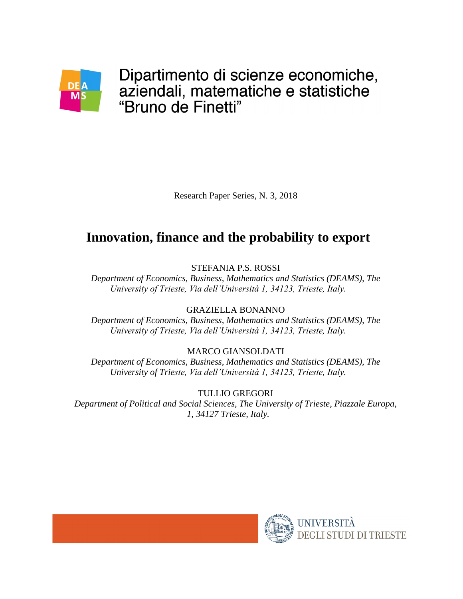

Dipartimento di scienze economiche, aziendali, matematiche e statistiche "Bruno de Finetti"

Research Paper Series, N. 3, 2018

# **Innovation, finance and the probability to export**

STEFANIA P.S. ROSSI

*Department of Economics, Business, Mathematics and Statistics (DEAMS), The University of Trieste, Via dell'Università 1, 34123, Trieste, Italy.*

GRAZIELLA BONANNO

*Department of Economics, Business, Mathematics and Statistics (DEAMS), The University of Trieste, Via dell'Università 1, 34123, Trieste, Italy.*

### MARCO GIANSOLDATI

*Department of Economics, Business, Mathematics and Statistics (DEAMS), The University of Trieste, Via dell'Università 1, 34123, Trieste, Italy.*

TULLIO GREGORI *Department of Political and Social Sciences, The University of Trieste, Piazzale Europa, 1, 34127 Trieste, Italy.*

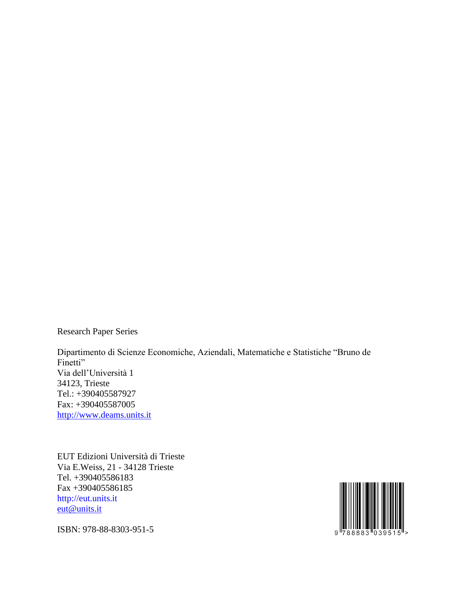Research Paper Series

Dipartimento di Scienze Economiche, Aziendali, Matematiche e Statistiche "Bruno de Finetti" Via dell'Università 1 34123, Trieste Tel.: +390405587927 Fax: +390405587005 [http://www.deams.units.it](http://www.deams.units.it/)

EUT Edizioni Università di Trieste Via E.Weiss, 21 - 34128 Trieste Tel. +390405586183 Fax +390405586185 http://eut.units.it [eut@units.it](mailto:eut@units.it)



ISBN: 978-88-8303-951-5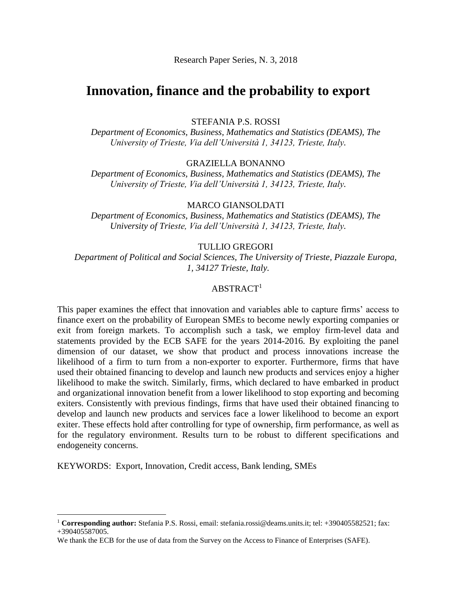Research Paper Series, N. 3, 2018

### **Innovation, finance and the probability to export**

STEFANIA P.S. ROSSI

*Department of Economics, Business, Mathematics and Statistics (DEAMS), The University of Trieste, Via dell'Università 1, 34123, Trieste, Italy.*

GRAZIELLA BONANNO

*Department of Economics, Business, Mathematics and Statistics (DEAMS), The University of Trieste, Via dell'Università 1, 34123, Trieste, Italy.*

#### MARCO GIANSOLDATI

*Department of Economics, Business, Mathematics and Statistics (DEAMS), The University of Trieste, Via dell'Università 1, 34123, Trieste, Italy.*

#### TULLIO GREGORI

*Department of Political and Social Sciences, The University of Trieste, Piazzale Europa, 1, 34127 Trieste, Italy.*

### $ABSTRACT<sup>1</sup>$

This paper examines the effect that innovation and variables able to capture firms' access to finance exert on the probability of European SMEs to become newly exporting companies or exit from foreign markets. To accomplish such a task, we employ firm-level data and statements provided by the ECB SAFE for the years 2014-2016. By exploiting the panel dimension of our dataset, we show that product and process innovations increase the likelihood of a firm to turn from a non-exporter to exporter. Furthermore, firms that have used their obtained financing to develop and launch new products and services enjoy a higher likelihood to make the switch. Similarly, firms, which declared to have embarked in product and organizational innovation benefit from a lower likelihood to stop exporting and becoming exiters. Consistently with previous findings, firms that have used their obtained financing to develop and launch new products and services face a lower likelihood to become an export exiter. These effects hold after controlling for type of ownership, firm performance, as well as for the regulatory environment. Results turn to be robust to different specifications and endogeneity concerns.

KEYWORDS: Export, Innovation, Credit access, Bank lending, SMEs

1

<sup>1</sup> **Corresponding author:** Stefania P.S. Rossi, email: stefania.rossi@deams.units.it; tel: +390405582521; fax: +390405587005.

We thank the ECB for the use of data from the Survey on the Access to Finance of Enterprises (SAFE).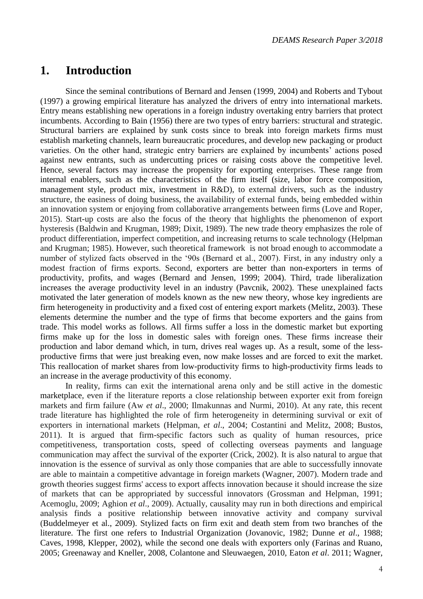### **1. Introduction**

Since the seminal contributions of Bernard and Jensen (1999, 2004) and Roberts and Tybout (1997) a growing empirical literature has analyzed the drivers of entry into international markets. Entry means establishing new operations in a foreign industry overtaking entry barriers that protect incumbents. According to Bain (1956) there are two types of entry barriers: structural and strategic. Structural barriers are explained by sunk costs since to break into foreign markets firms must establish marketing channels, learn bureaucratic procedures, and develop new packaging or product varieties. On the other hand, strategic entry barriers are explained by incumbents' actions posed against new entrants, such as undercutting prices or raising costs above the competitive level. Hence, several factors may increase the propensity for exporting enterprises. These range from internal enablers, such as the characteristics of the firm itself (size, labor force composition, management style, product mix, investment in R&D), to external drivers, such as the industry structure, the easiness of doing business, the availability of external funds, being embedded within an innovation system or enjoying from collaborative arrangements between firms (Love and Roper, 2015). Start-up costs are also the focus of the theory that highlights the phenomenon of export hysteresis (Baldwin and Krugman, 1989; Dixit, 1989). The new trade theory emphasizes the role of product differentiation, imperfect competition, and increasing returns to scale technology (Helpman and Krugman; 1985). However, such theoretical framework is not broad enough to accommodate a number of stylized facts observed in the '90s (Bernard et al., 2007). First, in any industry only a modest fraction of firms exports. Second, exporters are better than non-exporters in terms of productivity, profits, and wages (Bernard and Jensen, 1999; 2004). Third, trade liberalization increases the average productivity level in an industry (Pavcnik, 2002). These unexplained facts motivated the later generation of models known as the new new theory, whose key ingredients are firm heterogeneity in productivity and a fixed cost of entering export markets (Melitz, 2003). These elements determine the number and the type of firms that become exporters and the gains from trade. This model works as follows. All firms suffer a loss in the domestic market but exporting firms make up for the loss in domestic sales with foreign ones. These firms increase their production and labor demand which, in turn, drives real wages up. As a result, some of the lessproductive firms that were just breaking even, now make losses and are forced to exit the market. This reallocation of market shares from low-productivity firms to high-productivity firms leads to an increase in the average productivity of this economy.

In reality, firms can exit the international arena only and be still active in the domestic marketplace, even if the literature reports a close relationship between exporter exit from foreign markets and firm failure (Aw *et al*., 2000; Ilmakunnas and Nurmi, 2010). At any rate, this recent trade literature has highlighted the role of firm heterogeneity in determining survival or exit of exporters in international markets (Helpman, *et al*., 2004; Costantini and Melitz, 2008; Bustos, 2011). It is argued that firm-specific factors such as quality of human resources, price competitiveness, transportation costs, speed of collecting overseas payments and language communication may affect the survival of the exporter (Crick, 2002). It is also natural to argue that innovation is the essence of survival as only those companies that are able to successfully innovate are able to maintain a competitive advantage in foreign markets (Wagner, 2007). Modern trade and growth theories suggest firms' access to export affects innovation because it should increase the size of markets that can be appropriated by successful innovators (Grossman and Helpman, 1991; Acemoglu, 2009; Aghion *et al*., 2009). Actually, causality may run in both directions and empirical analysis finds a positive relationship between innovative activity and company survival (Buddelmeyer et al., 2009). Stylized facts on firm exit and death stem from two branches of the literature. The first one refers to Industrial Organization (Jovanovic, 1982; Dunne *et al*., 1988; Caves, 1998, Klepper, 2002), while the second one deals with exporters only (Farinas and Ruano, 2005; Greenaway and Kneller, 2008, Colantone and Sleuwaegen, 2010, Eaton *et al*. 2011; Wagner,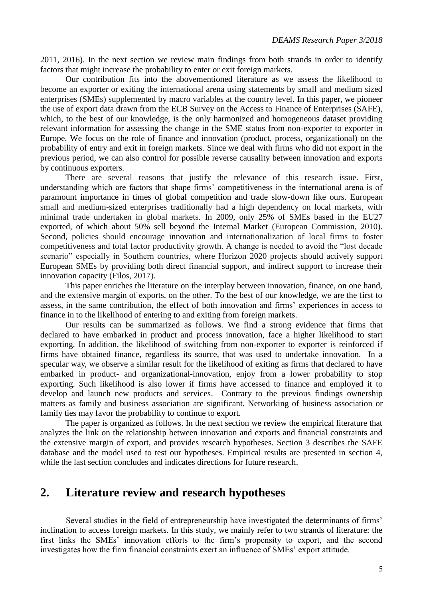2011, 2016). In the next section we review main findings from both strands in order to identify factors that might increase the probability to enter or exit foreign markets.

Our contribution fits into the abovementioned literature as we assess the likelihood to become an exporter or exiting the international arena using statements by small and medium sized enterprises (SMEs) supplemented by macro variables at the country level. In this paper, we pioneer the use of export data drawn from the ECB Survey on the Access to Finance of Enterprises (SAFE), which, to the best of our knowledge, is the only harmonized and homogeneous dataset providing relevant information for assessing the change in the SME status from non-exporter to exporter in Europe. We focus on the role of finance and innovation (product, process, organizational) on the probability of entry and exit in foreign markets. Since we deal with firms who did not export in the previous period, we can also control for possible reverse causality between innovation and exports by continuous exporters.

There are several reasons that justify the relevance of this research issue. First, understanding which are factors that shape firms' competitiveness in the international arena is of paramount importance in times of global competition and trade slow-down like ours. European small and medium-sized enterprises traditionally had a high dependency on local markets, with minimal trade undertaken in global markets. In 2009, only 25% of SMEs based in the EU27 exported, of which about 50% sell beyond the Internal Market (European Commission, 2010). Second, policies should encourage innovation and internationalization of local firms to foster competitiveness and total factor productivity growth. A change is needed to avoid the "lost decade scenario" especially in Southern countries, where Horizon 2020 projects should actively support European SMEs by providing both direct financial support, and indirect support to increase their innovation capacity (Filos, 2017).

This paper enriches the literature on the interplay between innovation, finance, on one hand, and the extensive margin of exports, on the other. To the best of our knowledge, we are the first to assess, in the same contribution, the effect of both innovation and firms' experiences in access to finance in to the likelihood of entering to and exiting from foreign markets.

Our results can be summarized as follows. We find a strong evidence that firms that declared to have embarked in product and process innovation, face a higher likelihood to start exporting. In addition, the likelihood of switching from non-exporter to exporter is reinforced if firms have obtained finance, regardless its source, that was used to undertake innovation. In a specular way, we observe a similar result for the likelihood of exiting as firms that declared to have embarked in product- and organizational-innovation, enjoy from a lower probability to stop exporting. Such likelihood is also lower if firms have accessed to finance and employed it to develop and launch new products and services. Contrary to the previous findings ownership matters as family and business association are significant. Networking of business association or family ties may favor the probability to continue to export.

The paper is organized as follows. In the next section we review the empirical literature that analyzes the link on the relationship between innovation and exports and financial constraints and the extensive margin of export, and provides research hypotheses. Section 3 describes the SAFE database and the model used to test our hypotheses. Empirical results are presented in section 4, while the last section concludes and indicates directions for future research.

### **2. Literature review and research hypotheses**

Several studies in the field of entrepreneurship have investigated the determinants of firms' inclination to access foreign markets. In this study, we mainly refer to two strands of literature: the first links the SMEs' innovation efforts to the firm's propensity to export, and the second investigates how the firm financial constraints exert an influence of SMEs' export attitude.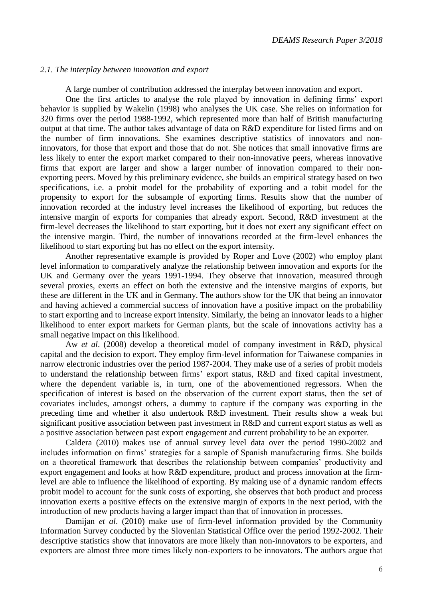#### *2.1. The interplay between innovation and export*

A large number of contribution addressed the interplay between innovation and export.

One the first articles to analyse the role played by innovation in defining firms' export behavior is supplied by Wakelin (1998) who analyses the UK case. She relies on information for 320 firms over the period 1988-1992, which represented more than half of British manufacturing output at that time. The author takes advantage of data on R&D expenditure for listed firms and on the number of firm innovations. She examines descriptive statistics of innovators and noninnovators, for those that export and those that do not. She notices that small innovative firms are less likely to enter the export market compared to their non-innovative peers, whereas innovative firms that export are larger and show a larger number of innovation compared to their nonexporting peers. Moved by this preliminary evidence, she builds an empirical strategy based on two specifications, i.e. a probit model for the probability of exporting and a tobit model for the propensity to export for the subsample of exporting firms. Results show that the number of innovation recorded at the industry level increases the likelihood of exporting, but reduces the intensive margin of exports for companies that already export. Second, R&D investment at the firm-level decreases the likelihood to start exporting, but it does not exert any significant effect on the intensive margin. Third, the number of innovations recorded at the firm-level enhances the likelihood to start exporting but has no effect on the export intensity.

Another representative example is provided by Roper and Love (2002) who employ plant level information to comparatively analyze the relationship between innovation and exports for the UK and Germany over the years 1991-1994. They observe that innovation, measured through several proxies, exerts an effect on both the extensive and the intensive margins of exports, but these are different in the UK and in Germany. The authors show for the UK that being an innovator and having achieved a commercial success of innovation have a positive impact on the probability to start exporting and to increase export intensity. Similarly, the being an innovator leads to a higher likelihood to enter export markets for German plants, but the scale of innovations activity has a small negative impact on this likelihood.

Aw *et al*. (2008) develop a theoretical model of company investment in R&D, physical capital and the decision to export. They employ firm-level information for Taiwanese companies in narrow electronic industries over the period 1987-2004. They make use of a series of probit models to understand the relationship between firms' export status, R&D and fixed capital investment, where the dependent variable is, in turn, one of the abovementioned regressors. When the specification of interest is based on the observation of the current export status, then the set of covariates includes, amongst others, a dummy to capture if the company was exporting in the preceding time and whether it also undertook R&D investment. Their results show a weak but significant positive association between past investment in R&D and current export status as well as a positive association between past export engagement and current probability to be an exporter.

Caldera (2010) makes use of annual survey level data over the period 1990-2002 and includes information on firms' strategies for a sample of Spanish manufacturing firms. She builds on a theoretical framework that describes the relationship between companies' productivity and export engagement and looks at how R&D expenditure, product and process innovation at the firmlevel are able to influence the likelihood of exporting. By making use of a dynamic random effects probit model to account for the sunk costs of exporting, she observes that both product and process innovation exerts a positive effects on the extensive margin of exports in the next period, with the introduction of new products having a larger impact than that of innovation in processes.

Damijan *et al*. (2010) make use of firm-level information provided by the Community Information Survey conducted by the Slovenian Statistical Office over the period 1992-2002. Their descriptive statistics show that innovators are more likely than non-innovators to be exporters, and exporters are almost three more times likely non-exporters to be innovators. The authors argue that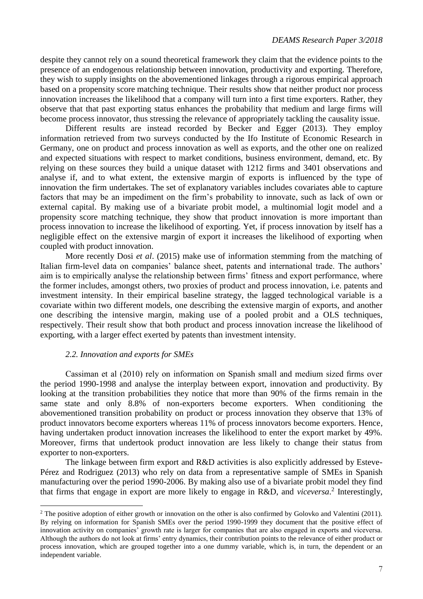despite they cannot rely on a sound theoretical framework they claim that the evidence points to the presence of an endogenous relationship between innovation, productivity and exporting. Therefore, they wish to supply insights on the abovementioned linkages through a rigorous empirical approach based on a propensity score matching technique. Their results show that neither product nor process innovation increases the likelihood that a company will turn into a first time exporters. Rather, they observe that that past exporting status enhances the probability that medium and large firms will become process innovator, thus stressing the relevance of appropriately tackling the causality issue.

Different results are instead recorded by Becker and Egger (2013). They employ information retrieved from two surveys conducted by the Ifo Institute of Economic Research in Germany, one on product and process innovation as well as exports, and the other one on realized and expected situations with respect to market conditions, business environment, demand, etc. By relying on these sources they build a unique dataset with 1212 firms and 3401 observations and analyse if, and to what extent, the extensive margin of exports is influenced by the type of innovation the firm undertakes. The set of explanatory variables includes covariates able to capture factors that may be an impediment on the firm's probability to innovate, such as lack of own or external capital. By making use of a bivariate probit model, a multinomial logit model and a propensity score matching technique, they show that product innovation is more important than process innovation to increase the likelihood of exporting. Yet, if process innovation by itself has a negligible effect on the extensive margin of export it increases the likelihood of exporting when coupled with product innovation.

More recently Dosi *et al*. (2015) make use of information stemming from the matching of Italian firm-level data on companies' balance sheet, patents and international trade. The authors' aim is to empirically analyse the relationship between firms' fitness and export performance, where the former includes, amongst others, two proxies of product and process innovation, i.e. patents and investment intensity. In their empirical baseline strategy, the lagged technological variable is a covariate within two different models, one describing the extensive margin of exports, and another one describing the intensive margin, making use of a pooled probit and a OLS techniques, respectively. Their result show that both product and process innovation increase the likelihood of exporting, with a larger effect exerted by patents than investment intensity.

#### *2.2. Innovation and exports for SMEs*

 $\overline{a}$ 

Cassiman et al (2010) rely on information on Spanish small and medium sized firms over the period 1990-1998 and analyse the interplay between export, innovation and productivity. By looking at the transition probabilities they notice that more than 90% of the firms remain in the same state and only 8.8% of non-exporters become exporters. When conditioning the abovementioned transition probability on product or process innovation they observe that 13% of product innovators become exporters whereas 11% of process innovators become exporters. Hence, having undertaken product innovation increases the likelihood to enter the export market by 49%. Moreover, firms that undertook product innovation are less likely to change their status from exporter to non-exporters.

The linkage between firm export and R&D activities is also explicitly addressed by Esteve-Pérez and Rodriguez (2013) who rely on data from a representative sample of SMEs in Spanish manufacturing over the period 1990-2006. By making also use of a bivariate probit model they find that firms that engage in export are more likely to engage in R&D, and *viceversa*. 2 Interestingly,

 $2$  The positive adoption of either growth or innovation on the other is also confirmed by Golovko and Valentini (2011). By relying on information for Spanish SMEs over the period 1990-1999 they document that the positive effect of innovation activity on companies' growth rate is larger for companies that are also engaged in exports and viceversa. Although the authors do not look at firms' entry dynamics, their contribution points to the relevance of either product or process innovation, which are grouped together into a one dummy variable, which is, in turn, the dependent or an independent variable.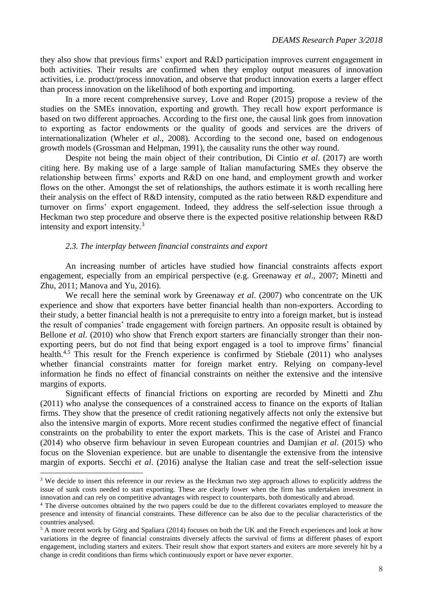they also show that previous firms' export and R&D participation improves current engagement in both activities. Their results are confirmed when they employ output measures of innovation activities, i.e. product/process innovation, and observe that product innovation exerts a larger effect than process innovation on the likelihood of both exporting and importing.

In a more recent comprehensive survey, Love and Roper (2015) propose a review of the studies on the SMEs innovation, exporting and growth. They recall how export performance is based on two different approaches. According to the first one, the causal link goes from innovation to exporting as factor endowments or the quality of goods and services are the drivers of internationalization (Wheler *et al*., 2008). According to the second one, based on endogenous growth models (Grossman and Helpman, 1991), the causality runs the other way round.

Despite not being the main object of their contribution, Di Cintio *et al*. (2017) are worth citing here. By making use of a large sample of Italian manufacturing SMEs they observe the relationship between firms' exports and R&D on one hand, and employment growth and worker flows on the other. Amongst the set of relationships, the authors estimate it is worth recalling here their analysis on the effect of R&D intensity, computed as the ratio between R&D expenditure and turnover on firms' export engagement. Indeed, they address the self-selection issue through a Heckman two step procedure and observe there is the expected positive relationship between R&D intensity and export intensity.<sup>3</sup>

### *2.3. The interplay between financial constraints and export*

 $\overline{a}$ 

An increasing number of articles have studied how financial constraints affects export engagement, especially from an empirical perspective (e.g. Greenaway *et al*., 2007; Minetti and Zhu, 2011; Manova and Yu, 2016).

We recall here the seminal work by Greenaway *et al*. (2007) who concentrate on the UK experience and show that exporters have better financial health than non-exporters. According to their study, a better financial health is not a prerequisite to entry into a foreign market, but is instead the result of companies' trade engagement with foreign partners. An opposite result is obtained by Bellone *et al.* (2010) who show that French export starters are financially stronger than their nonexporting peers, but do not find that being export engaged is a tool to improve firms' financial health.<sup>4,5</sup> This result for the French experience is confirmed by Stiebale (2011) who analyses whether financial constraints matter for foreign market entry. Relying on company-level information he finds no effect of financial constraints on neither the extensive and the intensive margins of exports.

Significant effects of financial frictions on exporting are recorded by Minetti and Zhu (2011) who analyse the consequences of a constrained access to finance on the exports of Italian firms. They show that the presence of credit rationing negatively affects not only the extensive but also the intensive margin of exports. More recent studies confirmed the negative effect of financial constraints on the probability to enter the export markets. This is the case of Aristei and Franco (2014) who observe firm behaviour in seven European countries and Damjian *et al*. (2015) who focus on the Slovenian experience. but are unable to disentangle the extensive from the intensive margin of exports. Secchi *et al*. (2016) analyse the Italian case and treat the self-selection issue

<sup>&</sup>lt;sup>3</sup> We decide to insert this reference in our review as the Heckman two step approach allows to explicitly address the issue of sunk costs needed to start exporting. These are clearly lower when the firm has undertaken investment in innovation and can rely on competitive advantages with respect to counterparts, both domestically and abroad.

<sup>4</sup> The diverse outcomes obtained by the two papers could be due to the different covariates employed to measure the presence and intensity of financial constraints. These difference can be also due to the peculiar characteristics of the countries analysed.

<sup>5</sup> A more recent work by Görg and Spaliara (2014) focuses on both the UK and the French experiences and look at how variations in the degree of financial constraints diversely affects the survival of firms at different phases of export engagement, including starters and exiters. Their result show that export starters and exiters are more severely hit by a change in credit conditions than firms which continuously export or have never exporter.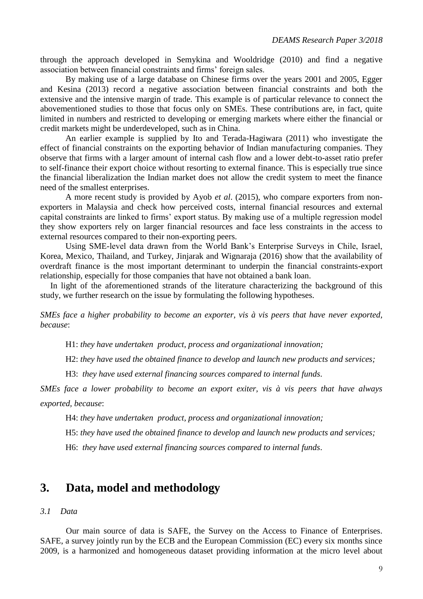through the approach developed in Semykina and Wooldridge (2010) and find a negative association between financial constraints and firms' foreign sales.

By making use of a large database on Chinese firms over the years 2001 and 2005, Egger and Kesina (2013) record a negative association between financial constraints and both the extensive and the intensive margin of trade. This example is of particular relevance to connect the abovementioned studies to those that focus only on SMEs. These contributions are, in fact, quite limited in numbers and restricted to developing or emerging markets where either the financial or credit markets might be underdeveloped, such as in China.

An earlier example is supplied by Ito and Terada-Hagiwara (2011) who investigate the effect of financial constraints on the exporting behavior of Indian manufacturing companies. They observe that firms with a larger amount of internal cash flow and a lower debt-to-asset ratio prefer to self-finance their export choice without resorting to external finance. This is especially true since the financial liberalization the Indian market does not allow the credit system to meet the finance need of the smallest enterprises.

A more recent study is provided by Ayob *et al*. (2015), who compare exporters from nonexporters in Malaysia and check how perceived costs, internal financial resources and external capital constraints are linked to firms' export status. By making use of a multiple regression model they show exporters rely on larger financial resources and face less constraints in the access to external resources compared to their non-exporting peers.

Using SME-level data drawn from the World Bank's Enterprise Surveys in Chile, Israel, Korea, Mexico, Thailand, and Turkey, Jinjarak and Wignaraja (2016) show that the availability of overdraft finance is the most important determinant to underpin the financial constraints-export relationship, especially for those companies that have not obtained a bank loan.

In light of the aforementioned strands of the literature characterizing the background of this study, we further research on the issue by formulating the following hypotheses.

*SMEs face a higher probability to become an exporter, vis à vis peers that have never exported, because*:

H1: *they have undertaken product, process and organizational innovation;* 

H2: *they have used the obtained finance to develop and launch new products and services;* 

H3: *they have used external financing sources compared to internal funds*.

*SMEs face a lower probability to become an export exiter, vis à vis peers that have always exported, because*:

H4: *they have undertaken product, process and organizational innovation;* 

H5: *they have used the obtained finance to develop and launch new products and services;* 

H6: *they have used external financing sources compared to internal funds*.

### **3. Data, model and methodology**

### *3.1 Data*

Our main source of data is SAFE, the Survey on the Access to Finance of Enterprises. SAFE, a survey jointly run by the ECB and the European Commission (EC) every six months since 2009, is a harmonized and homogeneous dataset providing information at the micro level about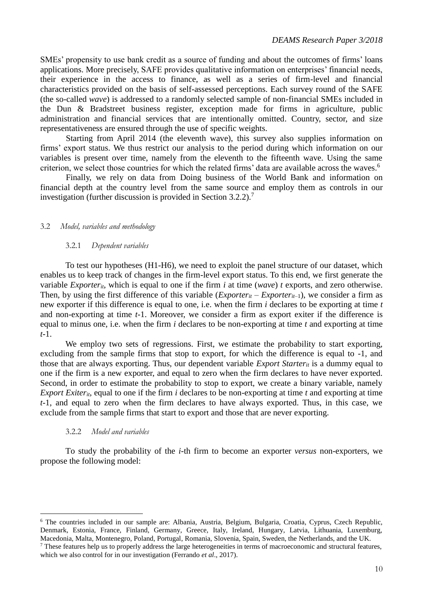SMEs' propensity to use bank credit as a source of funding and about the outcomes of firms' loans applications. More precisely, SAFE provides qualitative information on enterprises' financial needs, their experience in the access to finance, as well as a series of firm-level and financial characteristics provided on the basis of self-assessed perceptions. Each survey round of the SAFE (the so-called *wave*) is addressed to a randomly selected sample of non-financial SMEs included in the Dun & Bradstreet business register, exception made for firms in agriculture, public administration and financial services that are intentionally omitted. Country, sector, and size representativeness are ensured through the use of specific weights.

Starting from April 2014 (the eleventh wave), this survey also supplies information on firms' export status. We thus restrict our analysis to the period during which information on our variables is present over time, namely from the eleventh to the fifteenth wave. Using the same criterion, we select those countries for which the related firms' data are available across the waves.<sup>6</sup>

Finally, we rely on data from Doing business of the World Bank and information on financial depth at the country level from the same source and employ them as controls in our investigation (further discussion is provided in Section 3.2.2).<sup>7</sup>

#### 3.2 *Model, variables and methodology*

#### 3.2.1 *Dependent variables*

To test our hypotheses (H1-H6), we need to exploit the panel structure of our dataset, which enables us to keep track of changes in the firm-level export status. To this end, we first generate the variable *Exporter<sub>it</sub>*, which is equal to one if the firm *i* at time (*wave*) *t* exports, and zero otherwise. Then, by using the first difference of this variable  $(Experiment - Expert - Expert - 1)$ , we consider a firm as new exporter if this difference is equal to one, i.e. when the firm *i* declares to be exporting at time *t* and non-exporting at time *t-*1. Moreover, we consider a firm as export exiter if the difference is equal to minus one, i.e. when the firm *i* declares to be non-exporting at time *t* and exporting at time *t-*1.

We employ two sets of regressions. First, we estimate the probability to start exporting, excluding from the sample firms that stop to export, for which the difference is equal to -1, and those that are always exporting. Thus, our dependent variable *Export Starterit* is a dummy equal to one if the firm is a new exporter, and equal to zero when the firm declares to have never exported. Second, in order to estimate the probability to stop to export, we create a binary variable, namely *Export Exiter<sub>it</sub>*, equal to one if the firm *i* declares to be non-exporting at time *t* and exporting at time *t-*1, and equal to zero when the firm declares to have always exported. Thus, in this case, we exclude from the sample firms that start to export and those that are never exporting.

### 3.2.2 *Model and variables*

 $\overline{a}$ 

To study the probability of the *i-*th firm to become an exporter *versus* non-exporters, we propose the following model:

<sup>6</sup> The countries included in our sample are: Albania, Austria, Belgium, Bulgaria, Croatia, Cyprus, Czech Republic, Denmark, Estonia, France, Finland, Germany, Greece, Italy, Ireland, Hungary, Latvia, Lithuania, Luxemburg, Macedonia, Malta, Montenegro, Poland, Portugal, Romania, Slovenia, Spain, Sweden, the Netherlands, and the UK. <sup>7</sup> These features help us to properly address the large heterogeneities in terms of macroeconomic and structural features,

which we also control for in our investigation (Ferrando *et al*., 2017).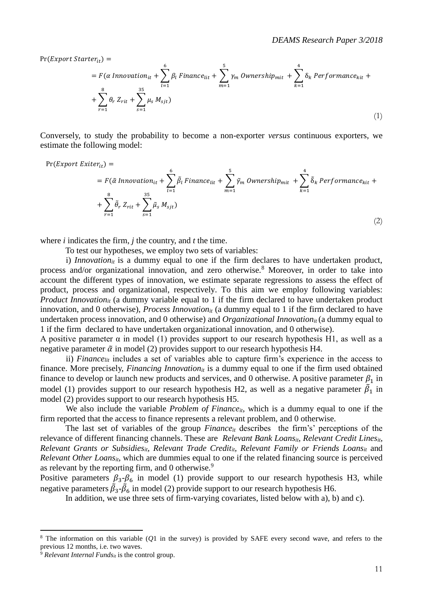$Pr(Expert Starter_{it}) =$ 

$$
= F(\alpha \text{ Innovation}_{it} + \sum_{l=1}^{6} \beta_l \text{Finance}_{lit} + \sum_{m=1}^{5} \gamma_m \text{p}_{mit} + \sum_{k=1}^{4} \delta_k \text{Performance}_{kit} + \sum_{r=1}^{8} \theta_r \text{ Z}_{rit} + \sum_{s=1}^{35} \mu_s \text{ M}_{sjt})
$$
\n
$$
(1)
$$

Conversely, to study the probability to become a non-exporter *versus* continuous exporters, we estimate the following model:

$$
\Pr(Expert\,Exiter_{it}) =\n= F(\tilde{\alpha} \text{ Innovation}_{it} + \sum_{l=1}^{6} \tilde{\beta}_{l} \text{Finance}_{lit} + \sum_{m=1}^{5} \tilde{\gamma}_{m} \text{Ownership}_{mit} + \sum_{k=1}^{4} \tilde{\delta}_{k} \text{Performance}_{kit} +\n+ \sum_{r=1}^{8} \tilde{\theta}_{r} \text{ Z}_{rit} + \sum_{s=1}^{35} \tilde{\mu}_{s} \text{ M}_{sjt})
$$
\n(2)

where *i* indicates the firm, *j* the country, and *t* the time.

To test our hypotheses, we employ two sets of variables:

i) *Innovation<sub>it</sub>* is a dummy equal to one if the firm declares to have undertaken product, process and/or organizational innovation, and zero otherwise.<sup>8</sup> Moreover, in order to take into account the different types of innovation, we estimate separate regressions to assess the effect of product, process and organizational, respectively. To this aim we employ following variables: *Product Innovation<sub>it</sub>* (a dummy variable equal to 1 if the firm declared to have undertaken product innovation, and 0 otherwise), *Process Innovation<sub>it</sub>* (a dummy equal to 1 if the firm declared to have undertaken process innovation, and 0 otherwise) and *Organizational Innovationit* (a dummy equal to 1 if the firm declared to have undertaken organizational innovation, and 0 otherwise).

A positive parameter  $\alpha$  in model (1) provides support to our research hypothesis H1, as well as a negative parameter  $\tilde{\alpha}$  in model (2) provides support to our research hypothesis H4.

ii) *Finance*<sub>lit</sub> includes a set of variables able to capture firm's experience in the access to finance. More precisely, *Financing Innovation*<sub>*it*</sub> is a dummy equal to one if the firm used obtained finance to develop or launch new products and services, and 0 otherwise. A positive parameter  $\beta_1$  in model (1) provides support to our research hypothesis H2, as well as a negative parameter  $\tilde{\beta}_1$  in model (2) provides support to our research hypothesis H5.

We also include the variable *Problem of Finance*<sub>*it*</sub>, which is a dummy equal to one if the firm reported that the access to finance represents a relevant problem, and 0 otherwise.

The last set of variables of the group *Financeit* describes the firm's' perceptions of the relevance of different financing channels. These are *Relevant Bank Loansit*, *Relevant Credit Linesit*, *Relevant Grants or Subsidiesit, Relevant Trade Creditit*, *Relevant Family or Friends Loansit* and *Relevant Other Loans<sub>it</sub>*, which are dummies equal to one if the related financing source is perceived as relevant by the reporting firm, and 0 otherwise.<sup>9</sup>

Positive parameters  $\beta_3-\beta_6$  in model (1) provide support to our research hypothesis H3, while negative parameters  $\tilde{\beta}_3$ - $\tilde{\beta}_6$  in model (2) provide support to our research hypothesis H6.

In addition, we use three sets of firm-varying covariates, listed below with a), b) and c).

 $\overline{a}$ 

<sup>8</sup> The information on this variable (*Q*1 in the survey) is provided by SAFE every second wave, and refers to the previous 12 months, i.e. two waves.

 $9$  *Relevant Internal Funds<sub>it</sub>* is the control group.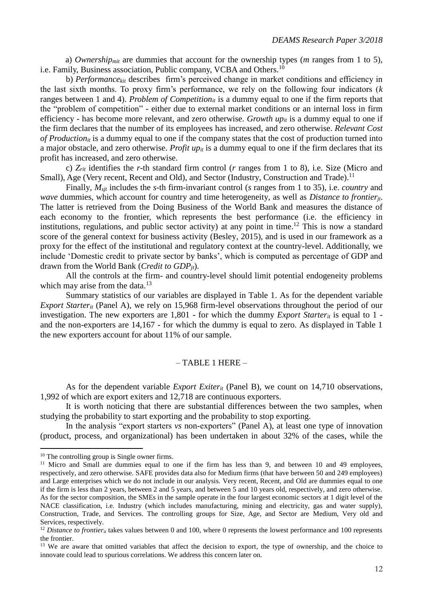a) *Ownershipmit* are dummies that account for the ownership types (*m* ranges from 1 to 5), i.e. Family, Business association, Public company, VCBA and Others.<sup>10</sup>

b) *Performancekit* describes firm's perceived change in market conditions and efficiency in the last sixth months. To proxy firm's performance, we rely on the following four indicators (*k* ranges between 1 and 4). *Problem of Competitionit* is a dummy equal to one if the firm reports that the "problem of competition" - either due to external market conditions or an internal loss in firm efficiency - has become more relevant, and zero otherwise. *Growth upit* is a dummy equal to one if the firm declares that the number of its employees has increased, and zero otherwise. *Relevant Cost of Production<sub>it</sub>* is a dummy equal to one if the company states that the cost of production turned into a major obstacle, and zero otherwise. *Profit upit* is a dummy equal to one if the firm declares that its profit has increased, and zero otherwise.

c) *Zrit* identifies the *r*-th standard firm control (*r* ranges from 1 to 8), i.e. Size (Micro and Small), Age (Very recent, Recent and Old), and Sector (Industry, Construction and Trade).<sup>11</sup>

Finally, *Msjt* includes the *s*-th firm-invariant control (*s* ranges from 1 to 35), i.e. *country* and *wave* dummies, which account for country and time heterogeneity, as well as *Distance to frontierjt*. The latter is retrieved from the Doing Business of the World Bank and measures the distance of each economy to the frontier, which represents the best performance (i.e. the efficiency in institutions, regulations, and public sector activity) at any point in time.<sup>12</sup> This is now a standard score of the general context for business activity (Besley, 2015), and is used in our framework as a proxy for the effect of the institutional and regulatory context at the country-level. Additionally, we include 'Domestic credit to private sector by banks', which is computed as percentage of GDP and drawn from the World Bank (*Credit to GDPjt*).

All the controls at the firm- and country-level should limit potential endogeneity problems which may arise from the data.<sup>13</sup>

Summary statistics of our variables are displayed in Table 1. As for the dependent variable *Export Starter<sub>it</sub>* (Panel A), we rely on 15,968 firm-level observations throughout the period of our investigation. The new exporters are 1,801 - for which the dummy *Export Starter<sub>it</sub>* is equal to 1 and the non-exporters are 14,167 - for which the dummy is equal to zero. As displayed in Table 1 the new exporters account for about 11% of our sample.

### $-$  TABLE 1 HERE  $-$

As for the dependent variable *Export Exiter<sub>it</sub>* (Panel B), we count on 14,710 observations, 1,992 of which are export exiters and 12,718 are continuous exporters.

It is worth noticing that there are substantial differences between the two samples, when studying the probability to start exporting and the probability to stop exporting.

In the analysis "export starters *vs* non-exporters" (Panel A), at least one type of innovation (product, process, and organizational) has been undertaken in about 32% of the cases, while the

 $\overline{a}$ 

<sup>&</sup>lt;sup>10</sup> The controlling group is Single owner firms.

<sup>&</sup>lt;sup>11</sup> Micro and Small are dummies equal to one if the firm has less than 9, and between 10 and 49 employees, respectively, and zero otherwise. SAFE provides data also for Medium firms (that have between 50 and 249 employees) and Large enterprises which we do not include in our analysis. Very recent, Recent, and Old are dummies equal to one if the firm is less than 2 years, between 2 and 5 years, and between 5 and 10 years old, respectively, and zero otherwise. As for the sector composition, the SMEs in the sample operate in the four largest economic sectors at 1 digit level of the NACE classification, i.e. Industry (which includes manufacturing, mining and electricity, gas and water supply), Construction, Trade, and Services. The controlling groups for Size, Age, and Sector are Medium, Very old and Services, respectively.

<sup>&</sup>lt;sup>12</sup> Distance to frontier<sub>it</sub> takes values between 0 and 100, where 0 represents the lowest performance and 100 represents the frontier.

<sup>&</sup>lt;sup>13</sup> We are aware that omitted variables that affect the decision to export, the type of ownership, and the choice to innovate could lead to spurious correlations. We address this concern later on.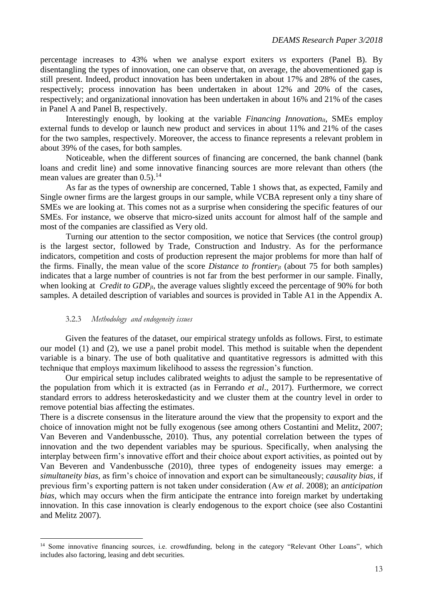percentage increases to 43% when we analyse export exiters *vs* exporters (Panel B). By disentangling the types of innovation, one can observe that, on average, the abovementioned gap is still present. Indeed, product innovation has been undertaken in about 17% and 28% of the cases, respectively; process innovation has been undertaken in about 12% and 20% of the cases, respectively; and organizational innovation has been undertaken in about 16% and 21% of the cases in Panel A and Panel B, respectively.

Interestingly enough, by looking at the variable *Financing Innovationit*, SMEs employ external funds to develop or launch new product and services in about 11% and 21% of the cases for the two samples, respectively. Moreover, the access to finance represents a relevant problem in about 39% of the cases, for both samples.

Noticeable, when the different sources of financing are concerned, the bank channel (bank loans and credit line) and some innovative financing sources are more relevant than others (the mean values are greater than  $0.5$ ).<sup>14</sup>

As far as the types of ownership are concerned, Table 1 shows that, as expected, Family and Single owner firms are the largest groups in our sample, while VCBA represent only a tiny share of SMEs we are looking at. This comes not as a surprise when considering the specific features of our SMEs. For instance, we observe that micro-sized units account for almost half of the sample and most of the companies are classified as Very old.

Turning our attention to the sector composition, we notice that Services (the control group) is the largest sector, followed by Trade, Construction and Industry. As for the performance indicators, competition and costs of production represent the major problems for more than half of the firms. Finally, the mean value of the score *Distance to frontierjt* (about 75 for both samples) indicates that a large number of countries is not far from the best performer in our sample. Finally, when looking at *Credit to GDP*<sub>*jt*</sub>, the average values slightly exceed the percentage of 90% for both samples. A detailed description of variables and sources is provided in Table A1 in the Appendix A.

#### 3.2.3 *Methodology and endogeneity issues*

 $\overline{a}$ 

Given the features of the dataset, our empirical strategy unfolds as follows. First, to estimate our model (1) and (2), we use a panel probit model. This method is suitable when the dependent variable is a binary. The use of both qualitative and quantitative regressors is admitted with this technique that employs maximum likelihood to assess the regression's function.

Our empirical setup includes calibrated weights to adjust the sample to be representative of the population from which it is extracted (as in Ferrando *et al*., 2017). Furthermore, we correct standard errors to address heteroskedasticity and we cluster them at the country level in order to remove potential bias affecting the estimates.

There is a discrete consensus in the literature around the view that the propensity to export and the choice of innovation might not be fully exogenous (see among others Costantini and Melitz, 2007; Van Beveren and Vandenbussche, 2010). Thus, any potential correlation between the types of innovation and the two dependent variables may be spurious. Specifically, when analysing the interplay between firm's innovative effort and their choice about export activities, as pointed out by Van Beveren and Vandenbussche (2010), three types of endogeneity issues may emerge: a *simultaneity bias,* as firm's choice of innovation and export can be simultaneously; *causality bias,* if previous firm's exporting pattern is not taken under consideration (Aw *et al*. 2008); an *anticipation bias,* which may occurs when the firm anticipate the entrance into foreign market by undertaking innovation. In this case innovation is clearly endogenous to the export choice (see also Costantini and Melitz 2007).

<sup>&</sup>lt;sup>14</sup> Some innovative financing sources, i.e. crowdfunding, belong in the category "Relevant Other Loans", which includes also factoring, leasing and debt securities.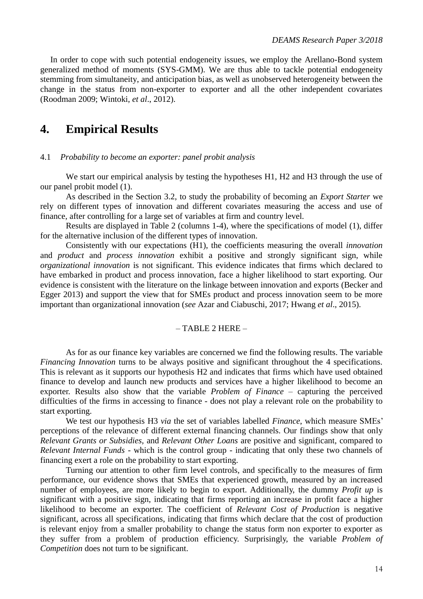In order to cope with such potential endogeneity issues, we employ the Arellano-Bond system generalized method of moments (SYS-GMM). We are thus able to tackle potential endogeneity stemming from simultaneity, and anticipation bias, as well as unobserved heterogeneity between the change in the status from non-exporter to exporter and all the other independent covariates (Roodman 2009; Wintoki, *et al*., 2012).

### **4. Empirical Results**

#### 4.1 *Probability to become an exporter: panel probit analysis*

We start our empirical analysis by testing the hypotheses H1, H2 and H3 through the use of our panel probit model (1).

As described in the Section 3.2, to study the probability of becoming an *Export Starter* we rely on different types of innovation and different covariates measuring the access and use of finance, after controlling for a large set of variables at firm and country level.

Results are displayed in Table 2 (columns 1-4), where the specifications of model (1), differ for the alternative inclusion of the different types of innovation.

Consistently with our expectations (H1), the coefficients measuring the overall *innovation* and *product* and *process innovation* exhibit a positive and strongly significant sign, while *organizational innovation* is not significant. This evidence indicates that firms which declared to have embarked in product and process innovation, face a higher likelihood to start exporting. Our evidence is consistent with the literature on the linkage between innovation and exports (Becker and Egger 2013) and support the view that for SMEs product and process innovation seem to be more important than organizational innovation (*see* Azar and Ciabuschi, 2017; Hwang *et al*., 2015).

### $-$  TABLE 2 HERE  $-$

As for as our finance key variables are concerned we find the following results. The variable *Financing Innovation* turns to be always positive and significant throughout the 4 specifications. This is relevant as it supports our hypothesis H2 and indicates that firms which have used obtained finance to develop and launch new products and services have a higher likelihood to become an exporter. Results also show that the variable *Problem of Finance –* capturing the perceived difficulties of the firms in accessing to finance - does not play a relevant role on the probability to start exporting.

We test our hypothesis H3 *via* the set of variables labelled *Finance*, which measure SMEs' perceptions of the relevance of different external financing channels. Our findings show that only *Relevant Grants or Subsidies,* and *Relevant Other Loans* are positive and significant, compared to *Relevant Internal Funds* - which is the control group - indicating that only these two channels of financing exert a role on the probability to start exporting.

Turning our attention to other firm level controls, and specifically to the measures of firm performance, our evidence shows that SMEs that experienced growth, measured by an increased number of employees, are more likely to begin to export. Additionally, the dummy *Profit up* is significant with a positive sign, indicating that firms reporting an increase in profit face a higher likelihood to become an exporter. The coefficient of *Relevant Cost of Production* is negative significant, across all specifications, indicating that firms which declare that the cost of production is relevant enjoy from a smaller probability to change the status form non exporter to exporter as they suffer from a problem of production efficiency. Surprisingly, the variable *Problem of Competition* does not turn to be significant.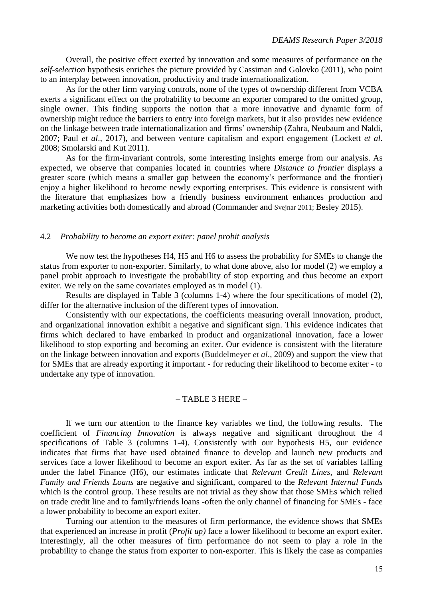Overall, the positive effect exerted by innovation and some measures of performance on the *self-selection* hypothesis enriches the picture provided by Cassiman and Golovko (2011), who point to an interplay between innovation, productivity and trade internationalization.

As for the other firm varying controls, none of the types of ownership different from VCBA exerts a significant effect on the probability to become an exporter compared to the omitted group, single owner. This finding supports the notion that a more innovative and dynamic form of ownership might reduce the barriers to entry into foreign markets, but it also provides new evidence on the linkage between trade internationalization and firms' ownership (Zahra, Neubaum and Naldi, 2007; Paul *et al*., 2017), and between venture capitalism and export engagement (Lockett *et al*. 2008; Smolarski and Kut 2011).

As for the firm-invariant controls, some interesting insights emerge from our analysis. As expected, we observe that companies located in countries where *Distance to frontier* displays a greater score (which means a smaller gap between the economy's performance and the frontier) enjoy a higher likelihood to become newly exporting enterprises. This evidence is consistent with the literature that emphasizes how a friendly business environment enhances production and marketing activities both domestically and abroad (Commander and Svejnar 2011; Besley 2015).

#### 4.2 *Probability to become an export exiter: panel probit analysis*

We now test the hypotheses H4, H5 and H6 to assess the probability for SMEs to change the status from exporter to non-exporter. Similarly, to what done above, also for model (2) we employ a panel probit approach to investigate the probability of stop exporting and thus become an export exiter. We rely on the same covariates employed as in model (1).

Results are displayed in Table 3 (columns 1-4) where the four specifications of model (2), differ for the alternative inclusion of the different types of innovation.

Consistently with our expectations, the coefficients measuring overall innovation, product, and organizational innovation exhibit a negative and significant sign. This evidence indicates that firms which declared to have embarked in product and organizational innovation, face a lower likelihood to stop exporting and becoming an exiter. Our evidence is consistent with the literature on the linkage between innovation and exports (Buddelmeyer *et al*., 2009) and support the view that for SMEs that are already exporting it important - for reducing their likelihood to become exiter - to undertake any type of innovation.

#### – TABLE 3 HERE –

If we turn our attention to the finance key variables we find, the following results. The coefficient of *Financing Innovation* is always negative and significant throughout the 4 specifications of Table 3 (columns 1-4). Consistently with our hypothesis H5, our evidence indicates that firms that have used obtained finance to develop and launch new products and services face a lower likelihood to become an export exiter. As far as the set of variables falling under the label Finance (H6), our estimates indicate that *Relevant Credit Lines*, and *Relevant Family and Friends Loans* are negative and significant, compared to the *Relevant Internal Funds* which is the control group. These results are not trivial as they show that those SMEs which relied on trade credit line and to family/friends loans -often the only channel of financing for SMEs - face a lower probability to become an export exiter.

Turning our attention to the measures of firm performance, the evidence shows that SMEs that experienced an increase in profit (*Profit up)* face a lower likelihood to become an export exiter. Interestingly, all the other measures of firm performance do not seem to play a role in the probability to change the status from exporter to non-exporter. This is likely the case as companies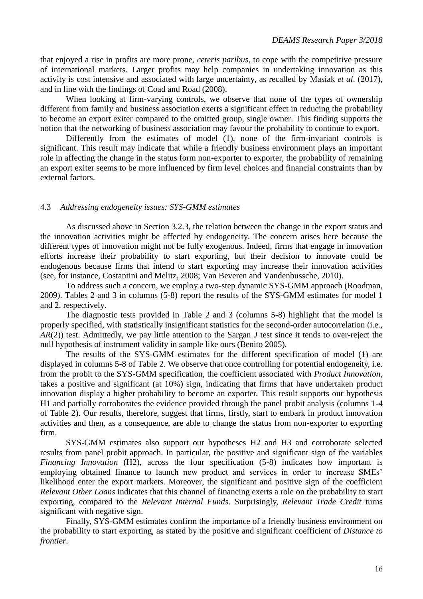that enjoyed a rise in profits are more prone, *ceteris paribus*, to cope with the competitive pressure of international markets. Larger profits may help companies in undertaking innovation as this activity is cost intensive and associated with large uncertainty, as recalled by Masiak *et al*. (2017), and in line with the findings of Coad and Road (2008).

When looking at firm-varying controls, we observe that none of the types of ownership different from family and business association exerts a significant effect in reducing the probability to become an export exiter compared to the omitted group, single owner. This finding supports the notion that the networking of business association may favour the probability to continue to export.

Differently from the estimates of model (1), none of the firm-invariant controls is significant. This result may indicate that while a friendly business environment plays an important role in affecting the change in the status form non-exporter to exporter, the probability of remaining an export exiter seems to be more influenced by firm level choices and financial constraints than by external factors.

### 4.3 *Addressing endogeneity issues: SYS-GMM estimates*

As discussed above in Section 3.2.3, the relation between the change in the export status and the innovation activities might be affected by endogeneity. The concern arises here because the different types of innovation might not be fully exogenous. Indeed, firms that engage in innovation efforts increase their probability to start exporting, but their decision to innovate could be endogenous because firms that intend to start exporting may increase their innovation activities (see, for instance, Costantini and Melitz, 2008; Van Beveren and Vandenbussche, 2010).

To address such a concern, we employ a two-step dynamic SYS-GMM approach (Roodman, 2009). Tables 2 and 3 in columns (5-8) report the results of the SYS-GMM estimates for model 1 and 2, respectively.

The diagnostic tests provided in Table 2 and 3 (columns 5-8) highlight that the model is properly specified, with statistically insignificant statistics for the second-order autocorrelation (i.e., *AR*(2)) test. Admittedly, we pay little attention to the Sargan *J* test since it tends to over-reject the null hypothesis of instrument validity in sample like ours (Benito 2005).

The results of the SYS-GMM estimates for the different specification of model (1) are displayed in columns 5-8 of Table 2. We observe that once controlling for potential endogeneity, i.e. from the probit to the SYS-GMM specification, the coefficient associated with *Product Innovation*, takes a positive and significant (at 10%) sign, indicating that firms that have undertaken product innovation display a higher probability to become an exporter. This result supports our hypothesis H1 and partially corroborates the evidence provided through the panel probit analysis (columns 1-4 of Table 2). Our results, therefore, suggest that firms, firstly, start to embark in product innovation activities and then, as a consequence, are able to change the status from non-exporter to exporting firm.

SYS-GMM estimates also support our hypotheses H2 and H3 and corroborate selected results from panel probit approach. In particular, the positive and significant sign of the variables *Financing Innovation* (H2), across the four specification (5-8) indicates how important is employing obtained finance to launch new product and services in order to increase SMEs' likelihood enter the export markets. Moreover, the significant and positive sign of the coefficient *Relevant Other Loans* indicates that this channel of financing exerts a role on the probability to start exporting, compared to the *Relevant Internal Funds*. Surprisingly, *Relevant Trade Credit* turns significant with negative sign.

Finally, SYS-GMM estimates confirm the importance of a friendly business environment on the probability to start exporting, as stated by the positive and significant coefficient of *Distance to frontier*.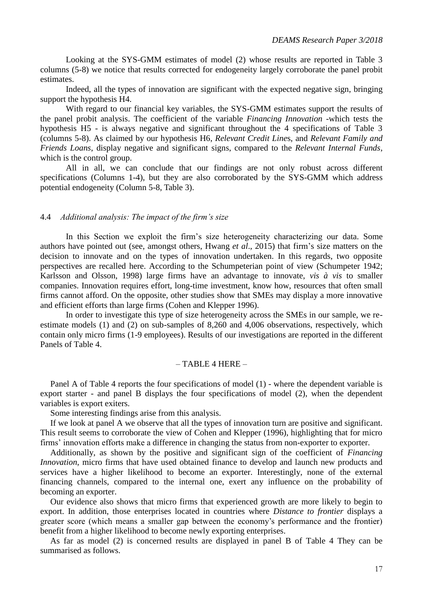Looking at the SYS-GMM estimates of model (2) whose results are reported in Table 3 columns (5-8) we notice that results corrected for endogeneity largely corroborate the panel probit estimates.

Indeed, all the types of innovation are significant with the expected negative sign, bringing support the hypothesis H4.

With regard to our financial key variables, the SYS-GMM estimates support the results of the panel probit analysis. The coefficient of the variable *Financing Innovation* -which tests the hypothesis H5 - is always negative and significant throughout the 4 specifications of Table 3 (columns 5-8). As claimed by our hypothesis H6, *Relevant Credit Line*s, and *Relevant Family and Friends Loans*, display negative and significant signs, compared to the *Relevant Internal Funds*, which is the control group.

All in all, we can conclude that our findings are not only robust across different specifications (Columns 1-4), but they are also corroborated by the SYS-GMM which address potential endogeneity (Column 5-8, Table 3).

### 4.4 *Additional analysis: The impact of the firm's size*

In this Section we exploit the firm's size heterogeneity characterizing our data. Some authors have pointed out (see, amongst others, Hwang *et al*., 2015) that firm's size matters on the decision to innovate and on the types of innovation undertaken. In this regards, two opposite perspectives are recalled here. According to the Schumpeterian point of view (Schumpeter 1942; Karlsson and Olsson, 1998) large firms have an advantage to innovate, *vis à vis* to smaller companies. Innovation requires effort, long-time investment, know how, resources that often small firms cannot afford. On the opposite, other studies show that SMEs may display a more innovative and efficient efforts than large firms (Cohen and Klepper 1996).

In order to investigate this type of size heterogeneity across the SMEs in our sample, we reestimate models (1) and (2) on sub-samples of 8,260 and 4,006 observations, respectively, which contain only micro firms (1-9 employees). Results of our investigations are reported in the different Panels of Table 4.

### $-$  TABLE 4 HERE  $-$

Panel A of Table 4 reports the four specifications of model (1) - where the dependent variable is export starter - and panel B displays the four specifications of model (2), when the dependent variables is export exiters.

Some interesting findings arise from this analysis.

If we look at panel A we observe that all the types of innovation turn are positive and significant. This result seems to corroborate the view of Cohen and Klepper (1996), highlighting that for micro firms' innovation efforts make a difference in changing the status from non-exporter to exporter.

Additionally, as shown by the positive and significant sign of the coefficient of *Financing Innovation*, micro firms that have used obtained finance to develop and launch new products and services have a higher likelihood to become an exporter. Interestingly, none of the external financing channels, compared to the internal one, exert any influence on the probability of becoming an exporter.

Our evidence also shows that micro firms that experienced growth are more likely to begin to export. In addition, those enterprises located in countries where *Distance to frontier* displays a greater score (which means a smaller gap between the economy's performance and the frontier) benefit from a higher likelihood to become newly exporting enterprises.

As far as model (2) is concerned results are displayed in panel B of Table 4 They can be summarised as follows.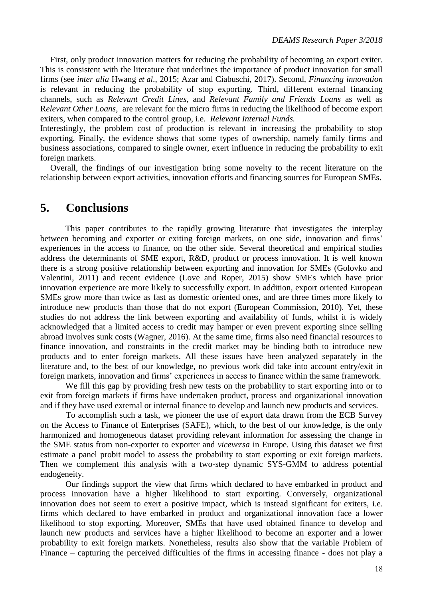First, only product innovation matters for reducing the probability of becoming an export exiter. This is consistent with the literature that underlines the importance of product innovation for small firms (see *inter alia* Hwang *et al*., 2015; Azar and Ciabuschi, 2017). Second, *Financing innovation*  is relevant in reducing the probability of stop exporting. Third, different external financing channels, such as *Relevant Credit Lines*, and *Relevant Family and Friends Loans* as well as R*elevant Other Loans*, are relevant for the micro firms in reducing the likelihood of become export exiters, when compared to the control group, i.e. *Relevant Internal Funds.* 

Interestingly, the problem cost of production is relevant in increasing the probability to stop exporting. Finally, the evidence shows that some types of ownership, namely family firms and business associations, compared to single owner, exert influence in reducing the probability to exit foreign markets.

Overall, the findings of our investigation bring some novelty to the recent literature on the relationship between export activities, innovation efforts and financing sources for European SMEs.

### **5. Conclusions**

This paper contributes to the rapidly growing literature that investigates the interplay between becoming and exporter or exiting foreign markets, on one side, innovation and firms' experiences in the access to finance, on the other side. Several theoretical and empirical studies address the determinants of SME export, R&D, product or process innovation. It is well known there is a strong positive relationship between exporting and innovation for SMEs (Golovko and Valentini, 2011) and recent evidence (Love and Roper, 2015) show SMEs which have prior innovation experience are more likely to successfully export. In addition, export oriented European SMEs grow more than twice as fast as domestic oriented ones, and are three times more likely to introduce new products than those that do not export (European Commission, 2010). Yet, these studies do not address the link between exporting and availability of funds, whilst it is widely acknowledged that a limited access to credit may hamper or even prevent exporting since selling abroad involves sunk costs (Wagner, 2016). At the same time, firms also need financial resources to finance innovation, and constraints in the credit market may be binding both to introduce new products and to enter foreign markets. All these issues have been analyzed separately in the literature and, to the best of our knowledge, no previous work did take into account entry/exit in foreign markets, innovation and firms' experiences in access to finance within the same framework.

We fill this gap by providing fresh new tests on the probability to start exporting into or to exit from foreign markets if firms have undertaken product, process and organizational innovation and if they have used external or internal finance to develop and launch new products and services.

To accomplish such a task, we pioneer the use of export data drawn from the ECB Survey on the Access to Finance of Enterprises (SAFE), which, to the best of our knowledge, is the only harmonized and homogeneous dataset providing relevant information for assessing the change in the SME status from non-exporter to exporter and *viceversa* in Europe. Using this dataset we first estimate a panel probit model to assess the probability to start exporting or exit foreign markets. Then we complement this analysis with a two-step dynamic SYS-GMM to address potential endogeneity.

Our findings support the view that firms which declared to have embarked in product and process innovation have a higher likelihood to start exporting. Conversely, organizational innovation does not seem to exert a positive impact, which is instead significant for exiters, i.e. firms which declared to have embarked in product and organizational innovation face a lower likelihood to stop exporting. Moreover, SMEs that have used obtained finance to develop and launch new products and services have a higher likelihood to become an exporter and a lower probability to exit foreign markets. Nonetheless, results also show that the variable Problem of Finance – capturing the perceived difficulties of the firms in accessing finance - does not play a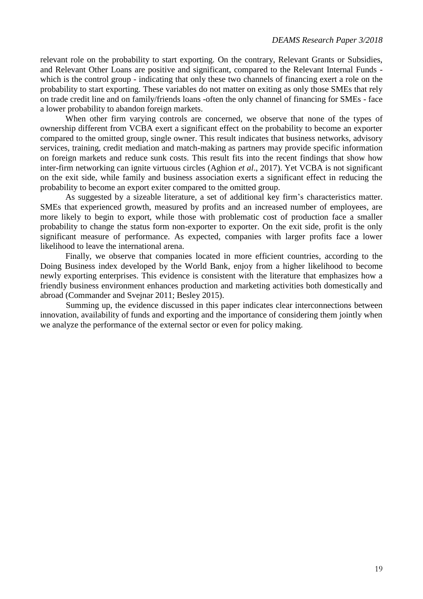relevant role on the probability to start exporting. On the contrary, Relevant Grants or Subsidies, and Relevant Other Loans are positive and significant, compared to the Relevant Internal Funds which is the control group - indicating that only these two channels of financing exert a role on the probability to start exporting. These variables do not matter on exiting as only those SMEs that rely on trade credit line and on family/friends loans -often the only channel of financing for SMEs - face a lower probability to abandon foreign markets.

When other firm varying controls are concerned, we observe that none of the types of ownership different from VCBA exert a significant effect on the probability to become an exporter compared to the omitted group, single owner. This result indicates that business networks, advisory services, training, credit mediation and match-making as partners may provide specific information on foreign markets and reduce sunk costs. This result fits into the recent findings that show how inter-firm networking can ignite virtuous circles (Aghion *et al*., 2017). Yet VCBA is not significant on the exit side, while family and business association exerts a significant effect in reducing the probability to become an export exiter compared to the omitted group.

As suggested by a sizeable literature, a set of additional key firm's characteristics matter. SMEs that experienced growth, measured by profits and an increased number of employees, are more likely to begin to export, while those with problematic cost of production face a smaller probability to change the status form non-exporter to exporter. On the exit side, profit is the only significant measure of performance. As expected, companies with larger profits face a lower likelihood to leave the international arena.

Finally, we observe that companies located in more efficient countries, according to the Doing Business index developed by the World Bank, enjoy from a higher likelihood to become newly exporting enterprises. This evidence is consistent with the literature that emphasizes how a friendly business environment enhances production and marketing activities both domestically and abroad (Commander and Svejnar 2011; Besley 2015).

Summing up, the evidence discussed in this paper indicates clear interconnections between innovation, availability of funds and exporting and the importance of considering them jointly when we analyze the performance of the external sector or even for policy making.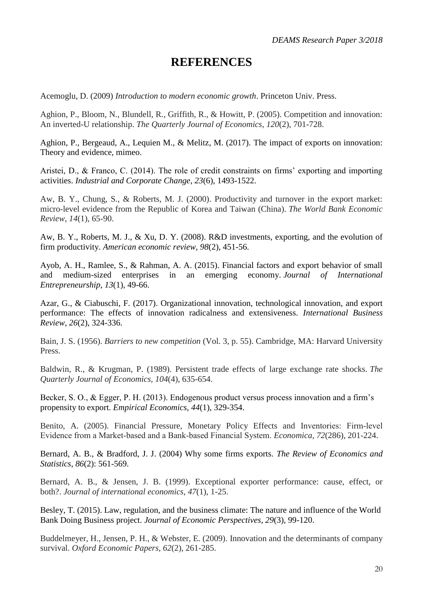## **REFERENCES**

Acemoglu, D. (2009) *Introduction to modern economic growth*. Princeton Univ. Press.

Aghion, P., Bloom, N., Blundell, R., Griffith, R., & Howitt, P. (2005). Competition and innovation: An inverted-U relationship. *The Quarterly Journal of Economics*, *120*(2), 701-728.

Aghion, P., Bergeaud, A., Lequien M., & Melitz, M. (2017). The impact of exports on innovation: Theory and evidence, mimeo.

Aristei, D., & Franco, C. (2014). The role of credit constraints on firms' exporting and importing activities. *Industrial and Corporate Change*, *23*(6), 1493-1522.

Aw, B. Y., Chung, S., & Roberts, M. J. (2000). Productivity and turnover in the export market: micro-level evidence from the Republic of Korea and Taiwan (China). *The World Bank Economic Review*, *14*(1), 65-90.

Aw, B. Y., Roberts, M. J., & Xu, D. Y. (2008). R&D investments, exporting, and the evolution of firm productivity. *American economic review*, *98*(2), 451-56.

Ayob, A. H., Ramlee, S., & Rahman, A. A. (2015). Financial factors and export behavior of small and medium-sized enterprises in an emerging economy. *Journal of International Entrepreneurship*, *13*(1), 49-66.

Azar, G., & Ciabuschi, F. (2017). Organizational innovation, technological innovation, and export performance: The effects of innovation radicalness and extensiveness. *International Business Review*, *26*(2), 324-336.

Bain, J. S. (1956). *Barriers to new competition* (Vol. 3, p. 55). Cambridge, MA: Harvard University Press.

Baldwin, R., & Krugman, P. (1989). Persistent trade effects of large exchange rate shocks. *The Quarterly Journal of Economics*, *104*(4), 635-654.

Becker, S. O., & Egger, P. H. (2013). Endogenous product versus process innovation and a firm's propensity to export. *Empirical Economics*, *44*(1), 329-354.

Benito, A. (2005). Financial Pressure, Monetary Policy Effects and Inventories: Firm-level Evidence from a Market‐based and a Bank‐based Financial System. *Economica*, *72*(286), 201-224.

Bernard, A. B., & Bradford, J. J. (2004) Why some firms exports. *The Review of Economics and Statistics*, *86*(2): 561-569.

Bernard, A. B., & Jensen, J. B. (1999). Exceptional exporter performance: cause, effect, or both?. *Journal of international economics*, *47*(1), 1-25.

Besley, T. (2015). Law, regulation, and the business climate: The nature and influence of the World Bank Doing Business project. *Journal of Economic Perspectives*, *29*(3), 99-120.

Buddelmeyer, H., Jensen, P. H., & Webster, E. (2009). Innovation and the determinants of company survival. *Oxford Economic Papers*, *62*(2), 261-285.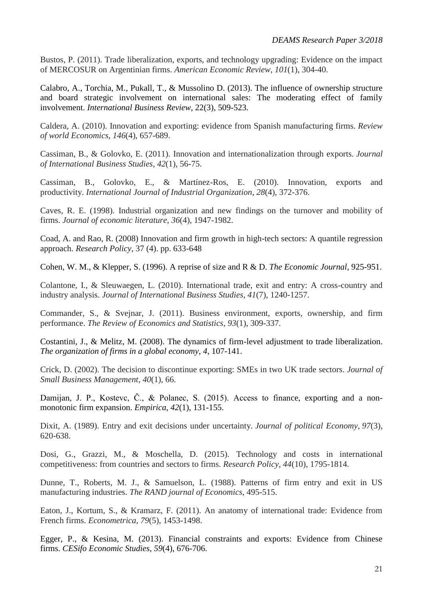Bustos, P. (2011). Trade liberalization, exports, and technology upgrading: Evidence on the impact of MERCOSUR on Argentinian firms. *American Economic Review*, *101*(1), 304-40.

Calabro, A., Torchia, M., Pukall, T., & Mussolino D. (2013). The influence of ownership structure and board strategic involvement on international sales: The moderating effect of family involvement. *International Business Review*, 22(3), 509-523.

Caldera, A. (2010). Innovation and exporting: evidence from Spanish manufacturing firms. *Review of world Economics*, *146*(4), 657-689.

Cassiman, B., & Golovko, E. (2011). Innovation and internationalization through exports. *Journal of International Business Studies*, *42*(1), 56-75.

Cassiman, B., Golovko, E., & Martínez-Ros, E. (2010). Innovation, exports and productivity. *International Journal of Industrial Organization*, *28*(4), 372-376.

Caves, R. E. (1998). Industrial organization and new findings on the turnover and mobility of firms. *Journal of economic literature*, *36*(4), 1947-1982.

Coad, A. and Rao, R. (2008) Innovation and firm growth in high-tech sectors: A quantile regression approach. *Research Policy*, 37 (4). pp. 633-648

Cohen, W. M., & Klepper, S. (1996). A reprise of size and R & D. *The Economic Journal*, 925-951.

Colantone, I., & Sleuwaegen, L. (2010). International trade, exit and entry: A cross-country and industry analysis. *Journal of International Business Studies*, *41*(7), 1240-1257.

Commander, S., & Svejnar, J. (2011). Business environment, exports, ownership, and firm performance. *The Review of Economics and Statistics*, *93*(1), 309-337.

Costantini, J., & Melitz, M. (2008). The dynamics of firm-level adjustment to trade liberalization. *The organization of firms in a global economy*, *4*, 107-141.

Crick, D. (2002). The decision to discontinue exporting: SMEs in two UK trade sectors. *Journal of Small Business Management*, *40*(1), 66.

Damijan, J. P., Kostevc, Č., & Polanec, S. (2015). Access to finance, exporting and a nonmonotonic firm expansion. *Empirica*, *42*(1), 131-155.

Dixit, A. (1989). Entry and exit decisions under uncertainty. *Journal of political Economy*, *97*(3), 620-638.

Dosi, G., Grazzi, M., & Moschella, D. (2015). Technology and costs in international competitiveness: from countries and sectors to firms. *Research Policy*, *44*(10), 1795-1814.

Dunne, T., Roberts, M. J., & Samuelson, L. (1988). Patterns of firm entry and exit in US manufacturing industries. *The RAND journal of Economics*, 495-515.

Eaton, J., Kortum, S., & Kramarz, F. (2011). An anatomy of international trade: Evidence from French firms. *Econometrica*, *79*(5), 1453-1498.

Egger, P., & Kesina, M. (2013). Financial constraints and exports: Evidence from Chinese firms. *CESifo Economic Studies*, *59*(4), 676-706.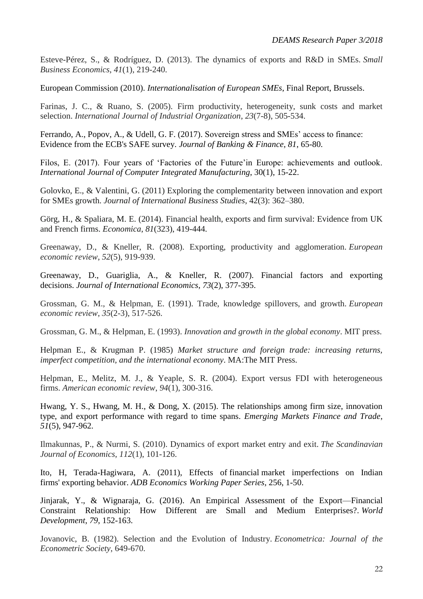Esteve-Pérez, S., & Rodríguez, D. (2013). The dynamics of exports and R&D in SMEs. *Small Business Economics*, *41*(1), 219-240.

European Commission (2010). *Internationalisation of European SMEs*, Final Report, Brussels.

Farinas, J. C., & Ruano, S. (2005). Firm productivity, heterogeneity, sunk costs and market selection. *International Journal of Industrial Organization*, *23*(7-8), 505-534.

Ferrando, A., Popov, A., & Udell, G. F. (2017). Sovereign stress and SMEs' access to finance: Evidence from the ECB's SAFE survey. *Journal of Banking & Finance*, *81*, 65-80.

Filos, E. (2017). Four years of 'Factories of the Future'in Europe: achievements and outlook. *International Journal of Computer Integrated Manufacturing*, 30(1), 15-22.

Golovko, E., & Valentini, G. (2011) Exploring the complementarity between innovation and export for SMEs growth. *Journal of International Business Studies*, 42(3): 362–380.

Görg, H., & Spaliara, M. E. (2014). Financial health, exports and firm survival: Evidence from UK and French firms. *Economica*, *81*(323), 419-444.

Greenaway, D., & Kneller, R. (2008). Exporting, productivity and agglomeration. *European economic review*, *52*(5), 919-939.

Greenaway, D., Guariglia, A., & Kneller, R. (2007). Financial factors and exporting decisions. *Journal of International Economics*, *73*(2), 377-395.

Grossman, G. M., & Helpman, E. (1991). Trade, knowledge spillovers, and growth. *European economic review*, *35*(2-3), 517-526.

Grossman, G. M., & Helpman, E. (1993). *Innovation and growth in the global economy*. MIT press.

Helpman E., & Krugman P. (1985) *Market structure and foreign trade: increasing returns, imperfect competition, and the international economy*. MA:The MIT Press.

Helpman, E., Melitz, M. J., & Yeaple, S. R. (2004). Export versus FDI with heterogeneous firms. *American economic review*, *94*(1), 300-316.

Hwang, Y. S., Hwang, M. H., & Dong, X. (2015). The relationships among firm size, innovation type, and export performance with regard to time spans. *Emerging Markets Finance and Trade*, *51*(5), 947-962.

Ilmakunnas, P., & Nurmi, S. (2010). Dynamics of export market entry and exit. *The Scandinavian Journal of Economics*, *112*(1), 101-126.

Ito, H, Terada-Hagiwara, A. (2011), Effects of financial market imperfections on Indian firms' exporting behavior. *ADB Economics Working Paper Series*, 256, 1-50.

Jinjarak, Y., & Wignaraja, G. (2016). An Empirical Assessment of the Export—Financial Constraint Relationship: How Different are Small and Medium Enterprises?. *World Development*, *79*, 152-163.

Jovanovic, B. (1982). Selection and the Evolution of Industry. *Econometrica: Journal of the Econometric Society*, 649-670.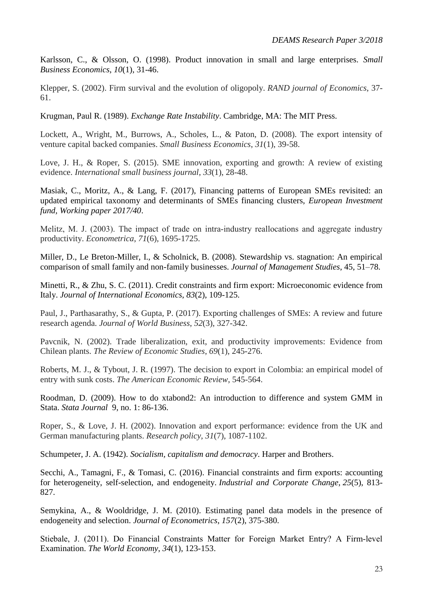Karlsson, C., & Olsson, O. (1998). Product innovation in small and large enterprises. *Small Business Economics*, *10*(1), 31-46.

Klepper, S. (2002). Firm survival and the evolution of oligopoly. *RAND journal of Economics*, 37- 61.

Krugman, Paul R. (1989). *Exchange Rate Instability*. Cambridge, MA: The MIT Press.

Lockett, A., Wright, M., Burrows, A., Scholes, L., & Paton, D. (2008). The export intensity of venture capital backed companies. *Small Business Economics*, *31*(1), 39-58.

Love, J. H., & Roper, S. (2015). SME innovation, exporting and growth: A review of existing evidence. *International small business journal*, *33*(1), 28-48.

Masiak, C., Moritz, A., & Lang, F. (2017), Financing patterns of European SMEs revisited: an updated empirical taxonomy and determinants of SMEs financing clusters, *European Investment fund, Working paper 2017/40*.

Melitz, M. J. (2003). The impact of trade on intra-industry reallocations and aggregate industry productivity. *Econometrica*, *71*(6), 1695-1725.

Miller, D., Le Breton-Miller, I., & Scholnick, B. (2008). Stewardship vs. stagnation: An empirical comparison of small family and non-family businesses. *Journal of Management Studies*, 45, 51–78.

Minetti, R., & Zhu, S. C. (2011). Credit constraints and firm export: Microeconomic evidence from Italy. *Journal of International Economics*, *83*(2), 109-125.

Paul, J., Parthasarathy, S., & Gupta, P. (2017). Exporting challenges of SMEs: A review and future research agenda. *Journal of World Business*, *52*(3), 327-342.

Pavcnik, N. (2002). Trade liberalization, exit, and productivity improvements: Evidence from Chilean plants. *The Review of Economic Studies*, *69*(1), 245-276.

Roberts, M. J., & Tybout, J. R. (1997). The decision to export in Colombia: an empirical model of entry with sunk costs. *The American Economic Review*, 545-564.

Roodman, D. (2009). How to do xtabond2: An introduction to difference and system GMM in Stata. *Stata Journal* 9, no. 1: 86-136.

Roper, S., & Love, J. H. (2002). Innovation and export performance: evidence from the UK and German manufacturing plants. *Research policy*, *31*(7), 1087-1102.

Schumpeter, J. A. (1942). *Socialism, capitalism and democracy*. Harper and Brothers.

Secchi, A., Tamagni, F., & Tomasi, C. (2016). Financial constraints and firm exports: accounting for heterogeneity, self-selection, and endogeneity. *Industrial and Corporate Change*, *25*(5), 813- 827.

Semykina, A., & Wooldridge, J. M. (2010). Estimating panel data models in the presence of endogeneity and selection. *Journal of Econometrics*, *157*(2), 375-380.

Stiebale, J. (2011). Do Financial Constraints Matter for Foreign Market Entry? A Firm‐level Examination. *The World Economy*, *34*(1), 123-153.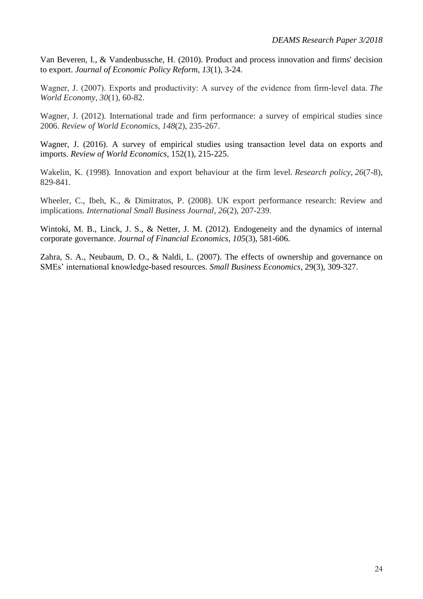Van Beveren, I., & Vandenbussche, H. (2010). Product and process innovation and firms' decision to export. *Journal of Economic Policy Reform*, *13*(1), 3-24.

Wagner, J. (2007). Exports and productivity: A survey of the evidence from firm-level data. *The World Economy*, *30*(1), 60-82.

Wagner, J. (2012). International trade and firm performance: a survey of empirical studies since 2006. *Review of World Economics*, *148*(2), 235-267.

Wagner, J. (2016). A survey of empirical studies using transaction level data on exports and imports. *Review of World Economics*, 152(1), 215-225.

Wakelin, K. (1998). Innovation and export behaviour at the firm level. *Research policy*, *26*(7-8), 829-841.

Wheeler, C., Ibeh, K., & Dimitratos, P. (2008). UK export performance research: Review and implications. *International Small Business Journal*, *26*(2), 207-239.

Wintoki, M. B., Linck, J. S., & Netter, J. M. (2012). Endogeneity and the dynamics of internal corporate governance. *Journal of Financial Economics*, *105*(3), 581-606.

Zahra, S. A., Neubaum, D. O., & Naldi, L. (2007). The effects of ownership and governance on SMEs' international knowledge-based resources. *Small Business Economics*, 29(3), 309-327.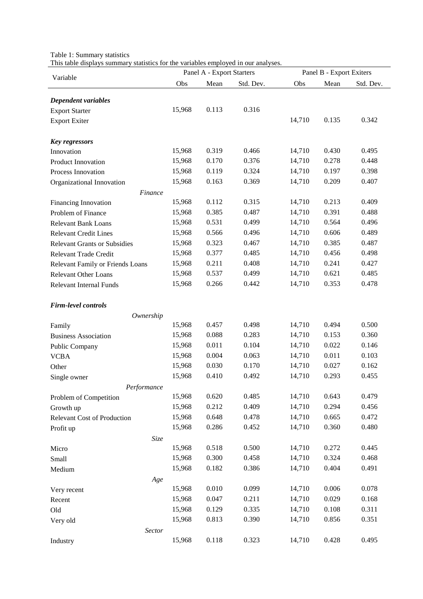Table 1: Summary statistics

This table displays summary statistics for the variables employed in our analyses.

| Variable                            |        | Panel A - Export Starters |           | Panel B - Export Exiters |       |           |  |
|-------------------------------------|--------|---------------------------|-----------|--------------------------|-------|-----------|--|
|                                     | Obs    | Mean                      | Std. Dev. | Obs                      | Mean  | Std. Dev. |  |
|                                     |        |                           |           |                          |       |           |  |
| Dependent variables                 | 15,968 | 0.113                     | 0.316     |                          |       |           |  |
| <b>Export Starter</b>               |        |                           |           | 14,710                   | 0.135 | 0.342     |  |
| <b>Export Exiter</b>                |        |                           |           |                          |       |           |  |
| <b>Key regressors</b>               |        |                           |           |                          |       |           |  |
| Innovation                          | 15,968 | 0.319                     | 0.466     | 14,710                   | 0.430 | 0.495     |  |
| Product Innovation                  | 15,968 | 0.170                     | 0.376     | 14,710                   | 0.278 | 0.448     |  |
| Process Innovation                  | 15,968 | 0.119                     | 0.324     | 14,710                   | 0.197 | 0.398     |  |
| Organizational Innovation           | 15,968 | 0.163                     | 0.369     | 14,710                   | 0.209 | 0.407     |  |
| <b>Finance</b>                      |        |                           |           |                          |       |           |  |
| <b>Financing Innovation</b>         | 15,968 | 0.112                     | 0.315     | 14,710                   | 0.213 | 0.409     |  |
| Problem of Finance                  | 15,968 | 0.385                     | 0.487     | 14,710                   | 0.391 | 0.488     |  |
| <b>Relevant Bank Loans</b>          | 15,968 | 0.531                     | 0.499     | 14,710                   | 0.564 | 0.496     |  |
| <b>Relevant Credit Lines</b>        | 15,968 | 0.566                     | 0.496     | 14,710                   | 0.606 | 0.489     |  |
| <b>Relevant Grants or Subsidies</b> | 15,968 | 0.323                     | 0.467     | 14,710                   | 0.385 | 0.487     |  |
| Relevant Trade Credit               | 15,968 | 0.377                     | 0.485     | 14,710                   | 0.456 | 0.498     |  |
| Relevant Family or Friends Loans    | 15,968 | 0.211                     | 0.408     | 14,710                   | 0.241 | 0.427     |  |
| <b>Relevant Other Loans</b>         | 15,968 | 0.537                     | 0.499     | 14,710                   | 0.621 | 0.485     |  |
| <b>Relevant Internal Funds</b>      | 15,968 | 0.266                     | 0.442     | 14,710                   | 0.353 | 0.478     |  |
|                                     |        |                           |           |                          |       |           |  |
| <b>Firm-level controls</b>          |        |                           |           |                          |       |           |  |
| Ownership                           |        |                           |           |                          |       |           |  |
| Family                              | 15,968 | 0.457                     | 0.498     | 14,710                   | 0.494 | 0.500     |  |
| <b>Business Association</b>         | 15,968 | 0.088                     | 0.283     | 14,710                   | 0.153 | 0.360     |  |
| Public Company                      | 15,968 | 0.011                     | 0.104     | 14,710                   | 0.022 | 0.146     |  |
| <b>VCBA</b>                         | 15,968 | 0.004                     | 0.063     | 14,710                   | 0.011 | 0.103     |  |
| Other                               | 15,968 | 0.030                     | 0.170     | 14,710                   | 0.027 | 0.162     |  |
| Single owner                        | 15,968 | 0.410                     | 0.492     | 14,710                   | 0.293 | 0.455     |  |
| Performance                         |        |                           |           |                          |       |           |  |
| Problem of Competition              | 15,968 | 0.620                     | 0.485     | 14,710                   | 0.643 | 0.479     |  |
| Growth up                           | 15,968 | 0.212                     | 0.409     | 14,710                   | 0.294 | 0.456     |  |
| Relevant Cost of Production         | 15,968 | 0.648                     | 0.478     | 14,710                   | 0.665 | 0.472     |  |
| Profit up                           | 15,968 | 0.286                     | 0.452     | 14,710                   | 0.360 | 0.480     |  |
| Size                                |        |                           |           |                          |       |           |  |
| Micro                               | 15,968 | 0.518                     | 0.500     | 14,710                   | 0.272 | 0.445     |  |
| Small                               | 15,968 | 0.300                     | 0.458     | 14,710                   | 0.324 | 0.468     |  |
| Medium                              | 15,968 | 0.182                     | 0.386     | 14,710                   | 0.404 | 0.491     |  |
| Age                                 |        |                           |           |                          |       |           |  |
| Very recent                         | 15,968 | 0.010                     | 0.099     | 14,710                   | 0.006 | 0.078     |  |
| Recent                              | 15,968 | 0.047                     | 0.211     | 14,710                   | 0.029 | 0.168     |  |
| Old                                 | 15,968 | 0.129                     | 0.335     | 14,710                   | 0.108 | 0.311     |  |
| Very old                            | 15,968 | 0.813                     | 0.390     | 14,710                   | 0.856 | 0.351     |  |
| Sector                              |        |                           |           |                          |       |           |  |
| Industry                            | 15,968 | 0.118                     | 0.323     | 14,710                   | 0.428 | 0.495     |  |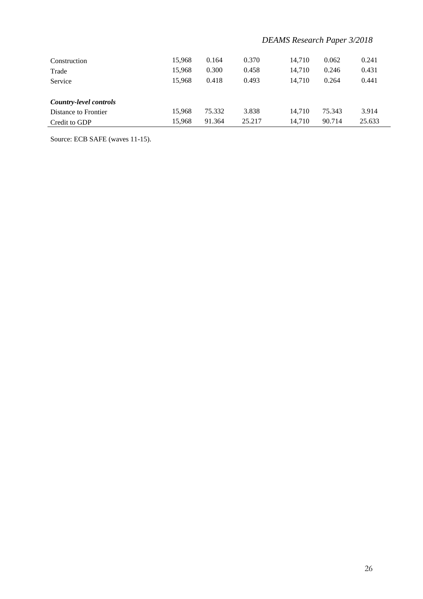### *DEAMS Research Paper 3/2018*

| Construction<br>Trade<br>Service               | 15.968<br>15.968<br>15.968 | 0.164<br>0.300<br>0.418 | 0.370<br>0.458<br>0.493 | 14.710<br>14.710<br>14.710 | 0.062<br>0.246<br>0.264 | 0.241<br>0.431<br>0.441 |
|------------------------------------------------|----------------------------|-------------------------|-------------------------|----------------------------|-------------------------|-------------------------|
| Country-level controls<br>Distance to Frontier | 15.968                     | 75.332                  | 3.838                   | 14.710                     | 75.343                  | 3.914                   |
| Credit to GDP                                  | 15.968                     | 91.364                  | 25.217                  | 14.710                     | 90.714                  | 25.633                  |

Source: ECB SAFE (waves 11-15).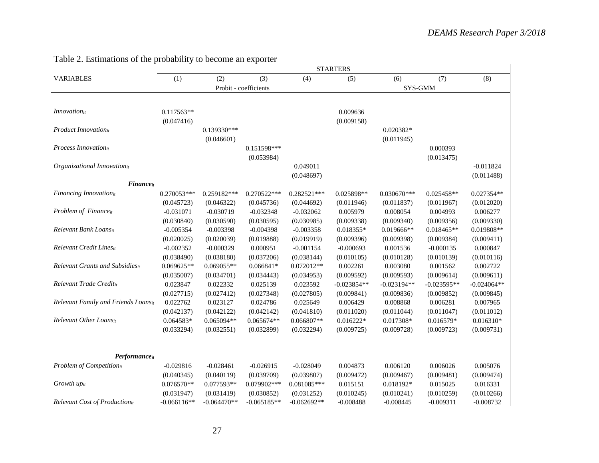|                                     | <b>STARTERS</b> |               |                       |               |               |               |               |               |
|-------------------------------------|-----------------|---------------|-----------------------|---------------|---------------|---------------|---------------|---------------|
| <b>VARIABLES</b>                    | (1)             | (2)           | (3)                   | (4)           | (5)           | (6)           | (7)           | (8)           |
|                                     |                 |               | Probit - coefficients |               |               | SYS-GMM       |               |               |
|                                     |                 |               |                       |               |               |               |               |               |
| <i>Innovation</i> <sub>it</sub>     | $0.117563**$    |               |                       |               | 0.009636      |               |               |               |
|                                     | (0.047416)      |               |                       |               | (0.009158)    |               |               |               |
| Product Innovationit                |                 | 0.139330***   |                       |               |               | $0.020382*$   |               |               |
|                                     |                 | (0.046601)    |                       |               |               | (0.011945)    |               |               |
| Process Innovationit                |                 |               | 0.151598***           |               |               |               | 0.000393      |               |
|                                     |                 |               | (0.053984)            |               |               |               | (0.013475)    |               |
| Organizational Innovationit         |                 |               |                       | 0.049011      |               |               |               | $-0.011824$   |
|                                     |                 |               |                       | (0.048697)    |               |               |               | (0.011488)    |
| Financeit                           |                 |               |                       |               |               |               |               |               |
| Financing Innovationit              | 0.270053***     | 0.259182***   | 0.270522***           | 0.282521***   | 0.025898**    | 0.030670***   | 0.025458**    | 0.027354**    |
|                                     | (0.045723)      | (0.046322)    | (0.045736)            | (0.044692)    | (0.011946)    | (0.011837)    | (0.011967)    | (0.012020)    |
| Problem of Financeit                | $-0.031071$     | $-0.030719$   | $-0.032348$           | $-0.032062$   | 0.005979      | 0.008054      | 0.004993      | 0.006277      |
|                                     | (0.030840)      | (0.030590)    | (0.030595)            | (0.030985)    | (0.009338)    | (0.009340)    | (0.009356)    | (0.009330)    |
| Relevant Bank Loansit               | $-0.005354$     | $-0.003398$   | $-0.004398$           | $-0.003358$   | 0.018355*     | 0.019666**    | $0.018465**$  | 0.019808**    |
|                                     | (0.020025)      | (0.020039)    | (0.019888)            | (0.019919)    | (0.009396)    | (0.009398)    | (0.009384)    | (0.009411)    |
| Relevant Credit Linesit             | $-0.002352$     | $-0.000329$   | 0.000951              | $-0.001154$   | $-0.000693$   | 0.001536      | $-0.000135$   | 0.000847      |
|                                     | (0.038490)      | (0.038180)    | (0.037206)            | (0.038144)    | (0.010105)    | (0.010128)    | (0.010139)    | (0.010116)    |
| Relevant Grants and Subsidiesit     | 0.069625**      | 0.069055**    | $0.066841*$           | $0.072012**$  | 0.002261      | 0.003080      | 0.001562      | 0.002722      |
|                                     | (0.035007)      | (0.034701)    | (0.034443)            | (0.034953)    | (0.009592)    | (0.009593)    | (0.009614)    | (0.009611)    |
| Relevant Trade Creditit             | 0.023847        | 0.022332      | 0.025139              | 0.023592      | $-0.023854**$ | $-0.023194**$ | $-0.023595**$ | $-0.024064**$ |
|                                     | (0.027715)      | (0.027412)    | (0.027348)            | (0.027805)    | (0.009841)    | (0.009836)    | (0.009852)    | (0.009845)    |
| Relevant Family and Friends Loansit | 0.022762        | 0.023127      | 0.024786              | 0.025649      | 0.006429      | 0.008868      | 0.006281      | 0.007965      |
|                                     | (0.042137)      | (0.042122)    | (0.042142)            | (0.041810)    | (0.011020)    | (0.011044)    | (0.011047)    | (0.011012)    |
| Relevant Other Loansit              | $0.064583*$     | 0.065094**    | $0.065674**$          | $0.066807**$  | $0.016222*$   | 0.017308*     | 0.016579*     | $0.016310*$   |
|                                     | (0.033294)      | (0.032551)    | (0.032899)            | (0.032294)    | (0.009725)    | (0.009728)    | (0.009723)    | (0.009731)    |
|                                     |                 |               |                       |               |               |               |               |               |
|                                     |                 |               |                       |               |               |               |               |               |
| Performance                         |                 |               |                       |               |               |               |               |               |
| Problem of Competitionit            | $-0.029816$     | $-0.028461$   | $-0.026915$           | $-0.028049$   | 0.004873      | 0.006120      | 0.006026      | 0.005076      |
|                                     | (0.040345)      | (0.040119)    | (0.039709)            | (0.039807)    | (0.009472)    | (0.009467)    | (0.009481)    | (0.009474)    |
| Growth upit                         | $0.076570**$    | 0.077593**    | 0.079902***           | 0.081085***   | 0.015151      | 0.018192*     | 0.015025      | 0.016331      |
|                                     | (0.031947)      | (0.031419)    | (0.030852)            | (0.031252)    | (0.010245)    | (0.010241)    | (0.010259)    | (0.010266)    |
| Relevant Cost of Productionit       | $-0.066116**$   | $-0.064470**$ | $-0.065185**$         | $-0.062692**$ | $-0.008488$   | $-0.008445$   | $-0.009311$   | $-0.008732$   |

### Table 2. Estimations of the probability to become an exporter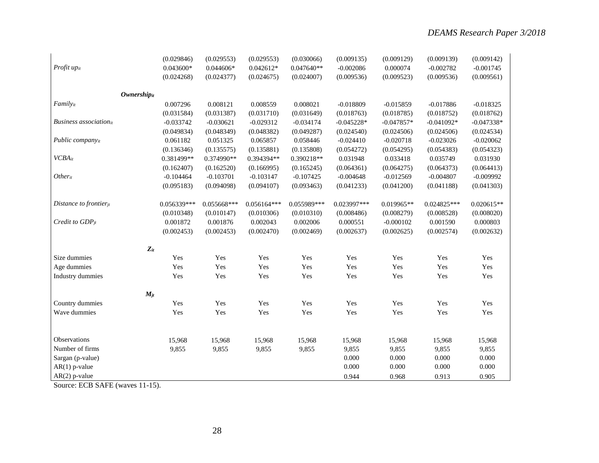|                               | (0.029846)  | (0.029553)  | (0.029553)    | (0.030066)   | (0.009135)   | (0.009129)   | (0.009139)   | (0.009142)   |
|-------------------------------|-------------|-------------|---------------|--------------|--------------|--------------|--------------|--------------|
| Profit upit                   | 0.043600*   | 0.044606*   | $0.042612*$   | $0.047640**$ | $-0.002086$  | 0.000074     | $-0.002782$  | $-0.001745$  |
|                               | (0.024268)  | (0.024377)  | (0.024675)    | (0.024007)   | (0.009536)   | (0.009523)   | (0.009536)   | (0.009561)   |
|                               |             |             |               |              |              |              |              |              |
| <b>Ownershipit</b>            |             |             |               |              |              |              |              |              |
| Familyit                      | 0.007296    | 0.008121    | 0.008559      | 0.008021     | $-0.018809$  | $-0.015859$  | $-0.017886$  | $-0.018325$  |
|                               | (0.031584)  | (0.031387)  | (0.031710)    | (0.031649)   | (0.018763)   | (0.018785)   | (0.018752)   | (0.018762)   |
| <b>Business</b> associationit | $-0.033742$ | $-0.030621$ | $-0.029312$   | $-0.034174$  | $-0.045228*$ | $-0.047857*$ | $-0.041092*$ | $-0.047338*$ |
|                               | (0.049834)  | (0.048349)  | (0.048382)    | (0.049287)   | (0.024540)   | (0.024506)   | (0.024506)   | (0.024534)   |
| Public company <sub>it</sub>  | 0.061182    | 0.051325    | 0.065857      | 0.058446     | $-0.024410$  | $-0.020718$  | $-0.023026$  | $-0.020062$  |
|                               | (0.136346)  | (0.135575)  | (0.135881)    | (0.135808)   | (0.054272)   | (0.054295)   | (0.054383)   | (0.054323)   |
| <b>VCBA</b> it                | 0.381499**  | 0.374990**  | 0.394394**    | 0.390218**   | 0.031948     | 0.033418     | 0.035749     | 0.031930     |
|                               | (0.162407)  | (0.162520)  | (0.166995)    | (0.165245)   | (0.064361)   | (0.064275)   | (0.064373)   | (0.064413)   |
| Otherit                       | $-0.104464$ | $-0.103701$ | $-0.103147$   | $-0.107425$  | $-0.004648$  | $-0.012569$  | $-0.004807$  | $-0.009992$  |
|                               | (0.095183)  | (0.094098)  | (0.094107)    | (0.093463)   | (0.041233)   | (0.041200)   | (0.041188)   | (0.041303)   |
| Distance to frontierjt        | 0.056339*** | 0.055668*** | $0.056164***$ | 0.055989***  | 0.023997***  | 0.019965**   | 0.024825***  | $0.020615**$ |
|                               | (0.010348)  | (0.010147)  | (0.010306)    | (0.010310)   | (0.008486)   | (0.008279)   | (0.008528)   | (0.008020)   |
| Credit to $GDP_{jt}$          | 0.001872    | 0.001876    | 0.002043      | 0.002006     | 0.000551     | $-0.000102$  | 0.001590     | 0.000803     |
|                               | (0.002453)  | (0.002453)  | (0.002470)    | (0.002469)   | (0.002637)   | (0.002625)   | (0.002574)   | (0.002632)   |
| $Z_{it}$                      |             |             |               |              |              |              |              |              |
| Size dummies                  | Yes         | Yes         | Yes           | Yes          | Yes          | Yes          | Yes          | Yes          |
| Age dummies                   | Yes         | Yes         | Yes           | Yes          | Yes          | Yes          | Yes          | Yes          |
|                               | Yes         | Yes         | Yes           | Yes          | Yes          | Yes          | Yes          |              |
| Industry dummies              |             |             |               |              |              |              |              | Yes          |
| $M_{jt}$                      |             |             |               |              |              |              |              |              |
| Country dummies               | Yes         | Yes         | Yes           | Yes          | Yes          | Yes          | Yes          | Yes          |
| Wave dummies                  | Yes         | Yes         | Yes           | Yes          | Yes          | Yes          | Yes          | Yes          |
|                               |             |             |               |              |              |              |              |              |
| Observations                  | 15,968      | 15,968      | 15,968        | 15,968       | 15,968       | 15,968       | 15,968       | 15,968       |
| Number of firms               | 9,855       | 9,855       | 9,855         | 9,855        | 9,855        | 9,855        | 9,855        | 9,855        |
| Sargan (p-value)              |             |             |               |              | 0.000        | 0.000        | 0.000        | 0.000        |
| $AR(1)$ p-value               |             |             |               |              | 0.000        | 0.000        | 0.000        | 0.000        |
| $AR(2)$ p-value               |             |             |               |              | 0.944        | 0.968        | 0.913        | 0.905        |

Source: ECB SAFE (waves 11-15).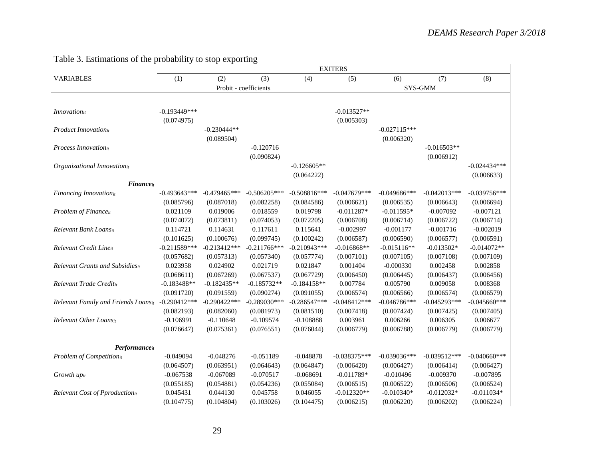|                                         | <b>EXITERS</b> |                |                       |                |                |                |                |                 |
|-----------------------------------------|----------------|----------------|-----------------------|----------------|----------------|----------------|----------------|-----------------|
| <b>VARIABLES</b>                        | (1)            | (2)            | (3)                   | (4)            | (5)            | (6)            | (7)            | (8)             |
|                                         |                |                | Probit - coefficients |                |                |                | SYS-GMM        |                 |
|                                         |                |                |                       |                |                |                |                |                 |
| $In novation_{it}$                      | $-0.193449***$ |                |                       |                | $-0.013527**$  |                |                |                 |
|                                         | (0.074975)     |                |                       |                | (0.005303)     |                |                |                 |
| <b>Product Innovation</b> <sub>it</sub> |                | $-0.230444**$  |                       |                |                | $-0.027115***$ |                |                 |
|                                         |                | (0.089504)     |                       |                |                | (0.006320)     |                |                 |
| Process Innovationit                    |                |                | $-0.120716$           |                |                |                | $-0.016503**$  |                 |
|                                         |                |                | (0.090824)            |                |                |                | (0.006912)     |                 |
| Organizational Innovationit             |                |                |                       | $-0.126605**$  |                |                |                | $-0.024434***$  |
|                                         |                |                |                       | (0.064222)     |                |                |                | (0.006633)      |
| <b>Finance</b> <sub>it</sub>            |                |                |                       |                |                |                |                |                 |
| Financing Innovation <sub>it</sub>      | $-0.493643***$ | $-0.479465***$ | $-0.506205***$        | $-0.508816***$ | $-0.047679***$ | $-0.049686***$ | $-0.042013***$ | $-0.039756***$  |
|                                         | (0.085796)     | (0.087018)     | (0.082258)            | (0.084586)     | (0.006621)     | (0.006535)     | (0.006643)     | (0.006694)      |
| Problem of Financeit                    | 0.021109       | 0.019006       | 0.018559              | 0.019798       | $-0.011287*$   | $-0.011595*$   | $-0.007092$    | $-0.007121$     |
|                                         | (0.074072)     | (0.073811)     | (0.074053)            | (0.072205)     | (0.006708)     | (0.006714)     | (0.006722)     | (0.006714)      |
| Relevant Bank Loansit                   | 0.114721       | 0.114631       | 0.117611              | 0.115641       | $-0.002997$    | $-0.001177$    | $-0.001716$    | $-0.002019$     |
|                                         | (0.101625)     | (0.100676)     | (0.099745)            | (0.100242)     | (0.006587)     | (0.006590)     | (0.006577)     | (0.006591)      |
| Relevant Credit Lineit                  | $-0.211589***$ | $-0.213412***$ | $-0.211766***$        | $-0.210943***$ | $-0.016868**$  | $-0.015116**$  | $-0.013502*$   | $-0.014072**$   |
|                                         | (0.057682)     | (0.057313)     | (0.057340)            | (0.057774)     | (0.007101)     | (0.007105)     | (0.007108)     | (0.007109)      |
| Relevant Grants and Subsidiesit         | 0.023958       | 0.024902       | 0.021719              | 0.021847       | 0.001404       | $-0.000330$    | 0.002458       | 0.002858        |
|                                         | (0.068611)     | (0.067269)     | (0.067537)            | (0.067729)     | (0.006450)     | (0.006445)     | (0.006437)     | (0.006456)      |
| Relevant Trade Creditit                 | $-0.183488**$  | $-0.182435**$  | $-0.185732**$         | $-0.184158**$  | 0.007784       | 0.005790       | 0.009058       | 0.008368        |
|                                         | (0.091720)     | (0.091559)     | (0.090274)            | (0.091055)     | (0.006574)     | (0.006566)     | (0.006574)     | (0.006579)      |
| Relevant Family and Friends Loansit     | $-0.290412***$ | $-0.290422***$ | $-0.289030***$        | $-0.286547***$ | $-0.048412***$ | $-0.046786***$ | $-0.045293***$ | $-0.045660***$  |
|                                         | (0.082193)     | (0.082060)     | (0.081973)            | (0.081510)     | (0.007418)     | (0.007424)     | (0.007425)     | (0.007405)      |
| Relevant Other Loansit                  | $-0.106991$    | $-0.110648$    | $-0.109574$           | $-0.108888$    | 0.003961       | 0.006266       | 0.006305       | 0.006677        |
|                                         | (0.076647)     | (0.075361)     | (0.076551)            | (0.076044)     | (0.006779)     | (0.006788)     | (0.006779)     | (0.006779)      |
|                                         |                |                |                       |                |                |                |                |                 |
| <b>Performance</b> <sub>it</sub>        |                |                |                       |                |                |                |                |                 |
| Problem of Competitionit                | $-0.049094$    | $-0.048276$    | $-0.051189$           | $-0.048878$    | $-0.038375***$ | $-0.039036***$ | $-0.039512***$ | $-0.040660$ *** |
|                                         | (0.064507)     | (0.063951)     | (0.064643)            | (0.064847)     | (0.006420)     | (0.006427)     | (0.006414)     | (0.006427)      |
| Growth upit                             | $-0.067538$    | $-0.067089$    | $-0.070517$           | $-0.068691$    | $-0.011789*$   | $-0.010496$    | $-0.009370$    | $-0.007895$     |
|                                         | (0.055185)     | (0.054881)     | (0.054236)            | (0.055084)     | (0.006515)     | (0.006522)     | (0.006506)     | (0.006524)      |
| <b>Relevant Cost of Pproduction</b> it  | 0.045431       | 0.044130       | 0.045758              | 0.046055       | $-0.012320**$  | $-0.010340*$   | $-0.012032*$   | $-0.011034*$    |
|                                         | (0.104775)     | (0.104804)     | (0.103026)            | (0.104475)     | (0.006215)     | (0.006220)     | (0.006202)     | (0.006224)      |

### Table 3. Estimations of the probability to stop exporting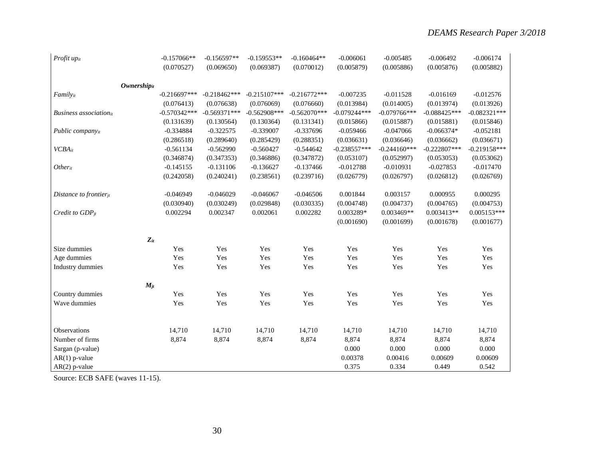| Profit upit                   |                                | $-0.157066**$<br>(0.070527) | $-0.156597**$<br>(0.069650)  | $-0.159553**$<br>(0.069387) | $-0.160464**$<br>(0.070012) | $-0.006061$<br>(0.005879)    | $-0.005485$<br>(0.005886) | $-0.006492$<br>(0.005876) | $-0.006174$<br>(0.005882) |
|-------------------------------|--------------------------------|-----------------------------|------------------------------|-----------------------------|-----------------------------|------------------------------|---------------------------|---------------------------|---------------------------|
|                               |                                |                             |                              |                             |                             |                              |                           |                           |                           |
|                               | <b>Ownership</b> <sub>it</sub> | $-0.216697***$              |                              | $-0.215107***$              | $-0.216772***$              |                              | $-0.011528$               | $-0.016169$               |                           |
| Familyit                      |                                | (0.076413)                  | $-0.218462***$<br>(0.076638) | (0.076069)                  | (0.076660)                  | $-0.007235$                  | (0.014005)                | (0.013974)                | $-0.012576$<br>(0.013926) |
| <b>Business</b> associationit |                                | $-0.570342***$              | $-0.569371***$               | $-0.562908***$              | $-0.562070***$              | (0.013984)<br>$-0.079244***$ | $-0.079766$ ***           | $-0.088425***$            | $-0.082321***$            |
|                               |                                | (0.131639)                  | (0.130564)                   | (0.130364)                  | (0.131341)                  | (0.015866)                   | (0.015887)                | (0.015881)                | (0.015846)                |
| Public companyit              |                                | $-0.334884$                 | $-0.322575$                  | $-0.339007$                 | $-0.337696$                 | $-0.059466$                  | $-0.047066$               | $-0.066374*$              | $-0.052181$               |
|                               |                                | (0.286518)                  | (0.289640)                   | (0.285429)                  | (0.288351)                  | (0.036631)                   | (0.036646)                | (0.036662)                | (0.036671)                |
| <b>VCBA</b> it                |                                | $-0.561134$                 | $-0.562990$                  | $-0.560427$                 | $-0.544642$                 | $-0.238557***$               | $-0.244160***$            | $-0.222807***$            | $-0.219158***$            |
|                               |                                | (0.346874)                  | (0.347353)                   | (0.346886)                  | (0.347872)                  | (0.053107)                   | (0.052997)                | (0.053053)                | (0.053062)                |
| Otherit                       |                                | $-0.145155$                 | $-0.131106$                  | $-0.136627$                 | $-0.137466$                 | $-0.012788$                  | $-0.010931$               | $-0.027853$               | $-0.017470$               |
|                               |                                | (0.242058)                  | (0.240241)                   | (0.238561)                  | (0.239716)                  | (0.026779)                   | (0.026797)                | (0.026812)                | (0.026769)                |
| Distance to frontierit        |                                | $-0.046949$                 | $-0.046029$                  | $-0.046067$                 | $-0.046506$                 | 0.001844                     | 0.003157                  | 0.000955                  | 0.000295                  |
|                               |                                | (0.030940)                  | (0.030249)                   | (0.029848)                  | (0.030335)                  | (0.004748)                   | (0.004737)                | (0.004765)                | (0.004753)                |
| Credit to $GDP_{it}$          |                                | 0.002294                    | 0.002347                     | 0.002061                    | 0.002282                    | 0.003289*                    | 0.003469**                | $0.003413**$              | $0.005153***$             |
|                               |                                |                             |                              |                             |                             | (0.001690)                   | (0.001699)                | (0.001678)                | (0.001677)                |
|                               | $Z_{it}$                       |                             |                              |                             |                             |                              |                           |                           |                           |
| Size dummies                  |                                | Yes                         | Yes                          | Yes                         | Yes                         | Yes                          | Yes                       | Yes                       | Yes                       |
| Age dummies                   |                                | Yes                         | Yes                          | Yes                         | Yes                         | Yes                          | Yes                       | Yes                       | Yes                       |
| Industry dummies              |                                | Yes                         | Yes                          | Yes                         | Yes                         | Yes                          | Yes                       | Yes                       | Yes                       |
|                               | $M_{jt}$                       |                             |                              |                             |                             |                              |                           |                           |                           |
| Country dummies               |                                | Yes                         | Yes                          | Yes                         | Yes                         | Yes                          | Yes                       | Yes                       | Yes                       |
| Wave dummies                  |                                | Yes                         | Yes                          | Yes                         | Yes                         | Yes                          | Yes                       | Yes                       | Yes                       |
|                               |                                |                             |                              |                             |                             |                              |                           |                           |                           |
| Observations                  |                                | 14,710                      | 14,710                       | 14,710                      | 14,710                      | 14,710                       | 14,710                    | 14,710                    | 14,710                    |
| Number of firms               |                                | 8,874                       | 8,874                        | 8,874                       | 8,874                       | 8,874                        | 8,874                     | 8,874                     | 8,874                     |
| Sargan (p-value)              |                                |                             |                              |                             |                             | 0.000                        | 0.000                     | 0.000                     | 0.000                     |
| $AR(1)$ p-value               |                                |                             |                              |                             |                             | 0.00378                      | 0.00416                   | 0.00609                   | 0.00609                   |
| $AR(2)$ p-value               |                                |                             |                              |                             |                             | 0.375                        | 0.334                     | 0.449                     | 0.542                     |

Source: ECB SAFE (waves 11-15).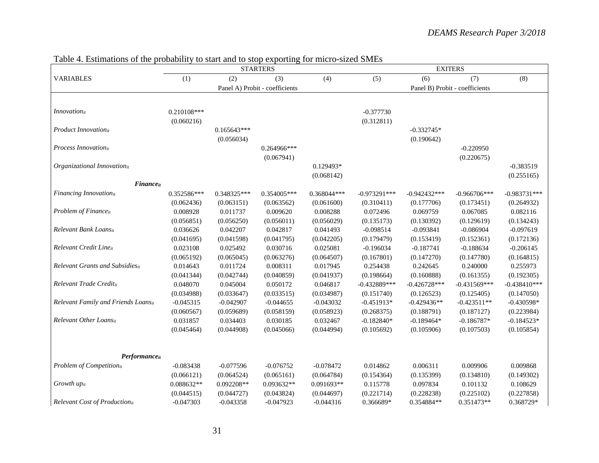|                                         |               |               | <b>STARTERS</b>                |             | <b>EXITERS</b> |                |                                |                |  |
|-----------------------------------------|---------------|---------------|--------------------------------|-------------|----------------|----------------|--------------------------------|----------------|--|
| <b>VARIABLES</b>                        | (1)           | (2)           | (3)                            | (4)         | (5)            | (6)            | (7)                            | (8)            |  |
|                                         |               |               | Panel A) Probit - coefficients |             |                |                | Panel B) Probit - coefficients |                |  |
|                                         |               |               |                                |             |                |                |                                |                |  |
| $In novation_{it}$                      | $0.210108***$ |               |                                |             | $-0.377730$    |                |                                |                |  |
|                                         | (0.060216)    |               |                                |             | (0.312811)     |                |                                |                |  |
| Product Innovationit                    |               | $0.165643***$ |                                |             |                | $-0.332745*$   |                                |                |  |
|                                         |               | (0.056034)    |                                |             |                | (0.190642)     |                                |                |  |
| Process Innovationit                    |               |               | $0.264966***$                  |             |                |                | $-0.220950$                    |                |  |
|                                         |               |               | (0.067941)                     |             |                |                | (0.220675)                     |                |  |
| Organizational Innovationit             |               |               |                                | 0.129493*   |                |                |                                | $-0.383519$    |  |
|                                         |               |               |                                | (0.068142)  |                |                |                                | (0.255165)     |  |
| Financeit                               |               |               |                                |             |                |                |                                |                |  |
| Financing Innovationit                  | $0.352586***$ | 0.348325***   | 0.354005***                    | 0.368044*** | $-0.973291***$ | $-0.942432***$ | $-0.966706***$                 | $-0.983731***$ |  |
|                                         | (0.062436)    | (0.063151)    | (0.063562)                     | (0.061600)  | (0.310411)     | (0.177706)     | (0.173451)                     | (0.264932)     |  |
| Problem of Financeit                    | 0.008928      | 0.011737      | 0.009620                       | 0.008288    | 0.072496       | 0.069759       | 0.067085                       | 0.082116       |  |
|                                         | (0.056851)    | (0.056250)    | (0.056011)                     | (0.056029)  | (0.135173)     | (0.130392)     | (0.129619)                     | (0.134243)     |  |
| Relevant Bank Loansit                   | 0.036626      | 0.042207      | 0.042817                       | 0.041493    | $-0.098514$    | $-0.093841$    | $-0.086904$                    | $-0.097619$    |  |
|                                         | (0.041695)    | (0.041598)    | (0.041795)                     | (0.042205)  | (0.179479)     | (0.153419)     | (0.152361)                     | (0.172136)     |  |
| Relevant Credit Lineit                  | 0.023108      | 0.025492      | 0.030716                       | 0.025081    | $-0.196034$    | $-0.187741$    | $-0.188634$                    | $-0.206145$    |  |
|                                         | (0.065192)    | (0.065045)    | (0.063276)                     | (0.064507)  | (0.167801)     | (0.147270)     | (0.147780)                     | (0.164815)     |  |
| <b>Relevant Grants and Subsidies</b> it | 0.014643      | 0.011724      | 0.008311                       | 0.017945    | 0.254438       | 0.242645       | 0.240000                       | 0.255973       |  |
|                                         | (0.041344)    | (0.042744)    | (0.040859)                     | (0.041937)  | (0.198664)     | (0.160888)     | (0.161355)                     | (0.192305)     |  |
| Relevant Trade Creditit                 | 0.048070      | 0.045004      | 0.050172                       | 0.046817    | $-0.432889***$ | $-0.426728***$ | $-0.431569***$                 | $-0.438410***$ |  |
|                                         | (0.034988)    | (0.033647)    | (0.033515)                     | (0.034987)  | (0.151740)     | (0.126523)     | (0.125405)                     | (0.147050)     |  |
| Relevant Family and Friends Loansit     | $-0.045315$   | $-0.042907$   | $-0.044655$                    | $-0.043032$ | $-0.451913*$   | $-0.429436**$  | $-0.423511**$                  | $-0.430598*$   |  |
|                                         | (0.060567)    | (0.059689)    | (0.058159)                     | (0.058923)  | (0.268375)     | (0.188791)     | (0.187127)                     | (0.223984)     |  |
| Relevant Other Loansit                  | 0.031857      | 0.034403      | 0.030185                       | 0.032467    | $-0.182840*$   | $-0.189464*$   | $-0.186787*$                   | $-0.184523*$   |  |
|                                         | (0.045464)    | (0.044908)    | (0.045066)                     | (0.044994)  | (0.105692)     | (0.105906)     | (0.107503)                     | (0.105854)     |  |
|                                         |               |               |                                |             |                |                |                                |                |  |
| $Performance_{it}$                      |               |               |                                |             |                |                |                                |                |  |
| Problem of Competitionit                | $-0.083438$   | $-0.077596$   | $-0.076752$                    | $-0.078472$ | 0.014862       | 0.006311       | 0.009906                       | 0.009868       |  |
|                                         | (0.066121)    | (0.064524)    | (0.065161)                     | (0.064784)  | (0.154364)     | (0.135399)     | (0.134810)                     | (0.149302)     |  |
| Growth up <sub>it</sub>                 | 0.088632**    | $0.092208**$  | 0.093632**                     | 0.091693**  | 0.115778       | 0.097834       | 0.101132                       | 0.108629       |  |
|                                         | (0.044515)    | (0.044727)    | (0.043824)                     | (0.044697)  | (0.221714)     | (0.228238)     | (0.225102)                     | (0.227858)     |  |
| Relevant Cost of Productionit           | $-0.047303$   | $-0.043358$   | $-0.047923$                    | $-0.044316$ | 0.366689*      | 0.354884**     | 0.351473**                     | 0.368729*      |  |

### Table 4. Estimations of the probability to start and to stop exporting for micro-sized SMEs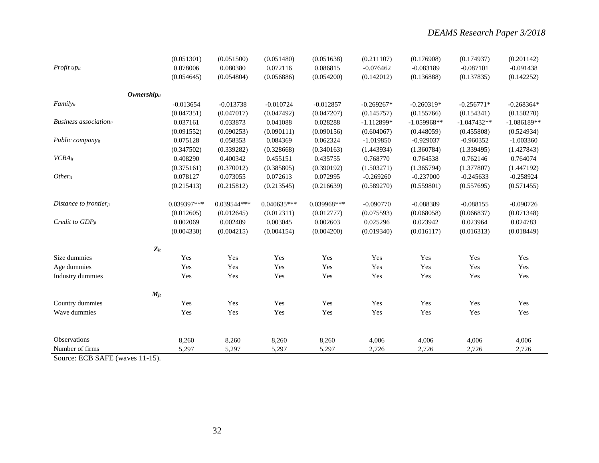|                               | (0.051301)        | (0.051500)  | (0.051480)  | (0.051638)  | (0.211107)   | (0.176908)    | (0.174937)    | (0.201142)    |
|-------------------------------|-------------------|-------------|-------------|-------------|--------------|---------------|---------------|---------------|
| Profit upit                   | 0.078006          | 0.080380    | 0.072116    | 0.086815    | $-0.076462$  | $-0.083189$   | $-0.087101$   | $-0.091438$   |
|                               | (0.054645)        | (0.054804)  | (0.056886)  | (0.054200)  | (0.142012)   | (0.136888)    | (0.137835)    | (0.142252)    |
|                               |                   |             |             |             |              |               |               |               |
|                               | Ownershipit       |             |             |             |              |               |               |               |
| Familyit                      | $-0.013654$       | $-0.013738$ | $-0.010724$ | $-0.012857$ | $-0.269267*$ | $-0.260319*$  | $-0.256771*$  | $-0.268364*$  |
|                               | (0.047351)        | (0.047017)  | (0.047492)  | (0.047207)  | (0.145757)   | (0.155766)    | (0.154341)    | (0.150270)    |
| <b>Business</b> associationit | 0.037161          | 0.033873    | 0.041088    | 0.028288    | $-1.112899*$ | $-1.059968**$ | $-1.047432**$ | $-1.086189**$ |
|                               | (0.091552)        | (0.090253)  | (0.090111)  | (0.090156)  | (0.604067)   | (0.448059)    | (0.455808)    | (0.524934)    |
| Public companyit              | 0.075128          | 0.058353    | 0.084369    | 0.062324    | $-1.019850$  | $-0.929037$   | $-0.960352$   | $-1.003360$   |
|                               | (0.347502)        | (0.339282)  | (0.328668)  | (0.340163)  | (1.443934)   | (1.360784)    | (1.339495)    | (1.427843)    |
| $VCBA_{it}$                   | 0.408290          | 0.400342    | 0.455151    | 0.435755    | 0.768770     | 0.764538      | 0.762146      | 0.764074      |
|                               | (0.375161)        | (0.370012)  | (0.385805)  | (0.390192)  | (1.503271)   | (1.365794)    | (1.377807)    | (1.447192)    |
| Otherit                       | 0.078127          | 0.073055    | 0.072613    | 0.072995    | $-0.269260$  | $-0.237000$   | $-0.245633$   | $-0.258924$   |
|                               | (0.215413)        | (0.215812)  | (0.213545)  | (0.216639)  | (0.589270)   | (0.559801)    | (0.557695)    | (0.571455)    |
| Distance to frontier $it$     | 0.039397***       | 0.039544*** | 0.040635*** | 0.039968*** | $-0.090770$  | $-0.088389$   | $-0.088155$   | $-0.090726$   |
|                               | (0.012605)        | (0.012645)  | (0.012311)  | (0.012777)  | (0.075593)   | (0.068058)    | (0.066837)    | (0.071348)    |
| Credit to $GDP_{it}$          | 0.002069          | 0.002409    | 0.003045    | 0.002603    | 0.025296     | 0.023942      | 0.023964      | 0.024783      |
|                               | (0.004330)        | (0.004215)  | (0.004154)  | (0.004200)  | (0.019340)   | (0.016117)    | (0.016313)    | (0.018449)    |
|                               | $\mathbf{Z}_{it}$ |             |             |             |              |               |               |               |
| Size dummies                  | Yes               | Yes         | Yes         | Yes         | Yes          | Yes           | Yes           | Yes           |
| Age dummies                   | Yes               | Yes         | Yes         | Yes         | Yes          | Yes           | Yes           | Yes           |
| Industry dummies              | Yes               | Yes         | Yes         | Yes         | Yes          | Yes           | Yes           | Yes           |
|                               | $M_{jt}$          |             |             |             |              |               |               |               |
| Country dummies               | Yes               | Yes         | Yes         | Yes         | Yes          | Yes           | Yes           | Yes           |
| Wave dummies                  | Yes               | Yes         | Yes         | Yes         | Yes          | Yes           | Yes           | Yes           |
|                               |                   |             |             |             |              |               |               |               |
| Observations                  | 8,260             | 8,260       | 8,260       | 8,260       | 4,006        | 4,006         | 4,006         | 4,006         |
| Number of firms               | 5,297             | 5,297       | 5,297       | 5,297       | 2,726        | 2,726         | 2,726         | 2,726         |
|                               |                   |             |             |             |              |               |               |               |

Source: ECB SAFE (waves 11-15).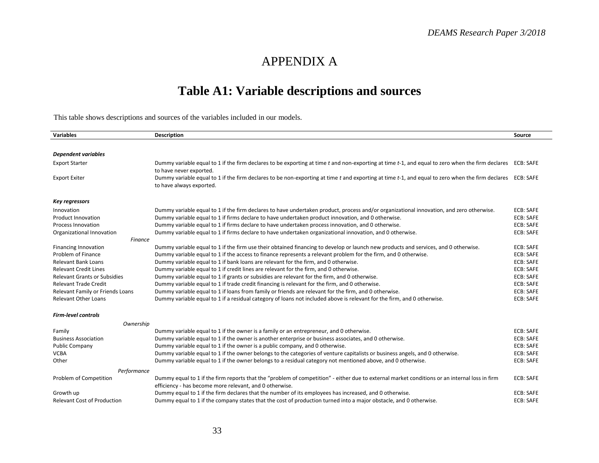## APPENDIX A

# **Table A1: Variable descriptions and sources**

This table shows descriptions and sources of the variables included in our models.

| Variables                           | Description                                                                                                                                                                                              | Source           |
|-------------------------------------|----------------------------------------------------------------------------------------------------------------------------------------------------------------------------------------------------------|------------------|
|                                     |                                                                                                                                                                                                          |                  |
| <b>Dependent variables</b>          |                                                                                                                                                                                                          |                  |
| <b>Export Starter</b>               | Dummy variable equal to 1 if the firm declares to be exporting at time t and non-exporting at time t-1, and equal to zero when the firm declares ECB: SAFE<br>to have never exported.                    |                  |
| <b>Export Exiter</b>                | Dummy variable equal to 1 if the firm declares to be non-exporting at time t and exporting at time t-1, and equal to zero when the firm declares ECB: SAFE<br>to have always exported.                   |                  |
| <b>Key regressors</b>               |                                                                                                                                                                                                          |                  |
| Innovation                          | Dummy variable equal to 1 if the firm declares to have undertaken product, process and/or organizational innovation, and zero otherwise.                                                                 | ECB: SAFE        |
| <b>Product Innovation</b>           | Dummy variable equal to 1 if firms declare to have undertaken product innovation, and 0 otherwise.                                                                                                       | <b>ECB: SAFE</b> |
| <b>Process Innovation</b>           | Dummy variable equal to 1 if firms declare to have undertaken process innovation, and 0 otherwise.                                                                                                       | <b>ECB: SAFE</b> |
| Organizational Innovation           | Dummy variable equal to 1 if firms declare to have undertaken organizational innovation, and 0 otherwise.                                                                                                | <b>ECB: SAFE</b> |
| <b>Finance</b>                      |                                                                                                                                                                                                          |                  |
| <b>Financing Innovation</b>         | Dummy variable equal to 1 if the firm use their obtained financing to develop or launch new products and services, and 0 otherwise.                                                                      | <b>ECB: SAFE</b> |
| Problem of Finance                  | Dummy variable equal to 1 if the access to finance represents a relevant problem for the firm, and 0 otherwise.                                                                                          | <b>ECB: SAFE</b> |
| <b>Relevant Bank Loans</b>          | Dummy variable equal to 1 if bank loans are relevant for the firm, and 0 otherwise.                                                                                                                      | <b>ECB: SAFE</b> |
| <b>Relevant Credit Lines</b>        | Dummy variable equal to 1 if credit lines are relevant for the firm, and 0 otherwise.                                                                                                                    | <b>ECB: SAFE</b> |
| <b>Relevant Grants or Subsidies</b> | Dummy variable equal to 1 if grants or subsidies are relevant for the firm, and 0 otherwise.                                                                                                             | <b>ECB: SAFE</b> |
| <b>Relevant Trade Credit</b>        | Dummy variable equal to 1 if trade credit financing is relevant for the firm, and 0 otherwise.                                                                                                           | <b>ECB: SAFE</b> |
| Relevant Family or Friends Loans    | Dummy variable equal to 1 if loans from family or friends are relevant for the firm, and 0 otherwise.                                                                                                    | <b>ECB: SAFE</b> |
| <b>Relevant Other Loans</b>         | Dummy variable equal to 1 if a residual category of loans not included above is relevant for the firm, and 0 otherwise.                                                                                  | <b>ECB: SAFE</b> |
| <b>Firm-level controls</b>          |                                                                                                                                                                                                          |                  |
| Ownership                           |                                                                                                                                                                                                          |                  |
| Family                              | Dummy variable equal to 1 if the owner is a family or an entrepreneur, and 0 otherwise.                                                                                                                  | <b>ECB: SAFE</b> |
| <b>Business Association</b>         | Dummy variable equal to 1 if the owner is another enterprise or business associates, and 0 otherwise.                                                                                                    | <b>ECB: SAFE</b> |
| <b>Public Company</b>               | Dummy variable equal to 1 if the owner is a public company, and 0 otherwise.                                                                                                                             | <b>ECB: SAFE</b> |
| <b>VCBA</b>                         | Dummy variable equal to 1 if the owner belongs to the categories of venture capitalists or business angels, and 0 otherwise.                                                                             | <b>ECB: SAFE</b> |
| Other                               | Dummy variable equal to 1 if the owner belongs to a residual category not mentioned above, and 0 otherwise.                                                                                              | <b>ECB: SAFE</b> |
| Performance                         |                                                                                                                                                                                                          |                  |
| Problem of Competition              | Dummy equal to 1 if the firm reports that the "problem of competition" - either due to external market conditions or an internal loss in firm<br>efficiency - has become more relevant, and 0 otherwise. | <b>ECB: SAFE</b> |
| Growth up                           | Dummy equal to 1 if the firm declares that the number of its employees has increased, and 0 otherwise.                                                                                                   | <b>ECB: SAFE</b> |
| <b>Relevant Cost of Production</b>  | Dummy equal to 1 if the company states that the cost of production turned into a major obstacle, and 0 otherwise.                                                                                        | <b>ECB: SAFE</b> |